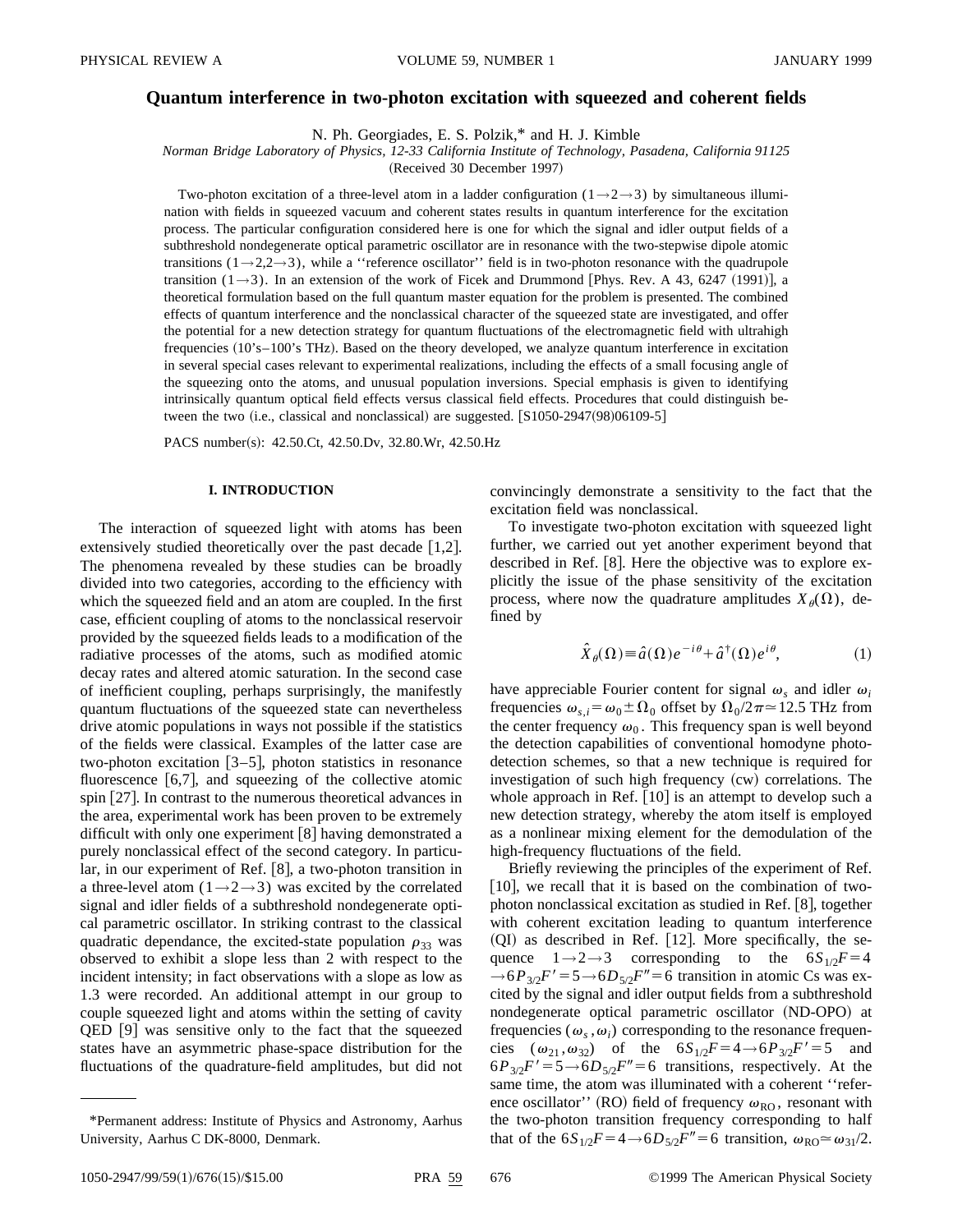# **Quantum interference in two-photon excitation with squeezed and coherent fields**

N. Ph. Georgiades, E. S. Polzik,\* and H. J. Kimble

*Norman Bridge Laboratory of Physics, 12-33 California Institute of Technology, Pasadena, California 91125*

(Received 30 December 1997)

Two-photon excitation of a three-level atom in a ladder configuration (1*→*2*→*3) by simultaneous illumination with fields in squeezed vacuum and coherent states results in quantum interference for the excitation process. The particular configuration considered here is one for which the signal and idler output fields of a subthreshold nondegenerate optical parametric oscillator are in resonance with the two-stepwise dipole atomic transitions (1*→*2,2*→*3), while a ''reference oscillator'' field is in two-photon resonance with the quadrupole transition  $(1\rightarrow 3)$ . In an extension of the work of Ficek and Drummond [Phys. Rev. A 43, 6247 (1991)], a theoretical formulation based on the full quantum master equation for the problem is presented. The combined effects of quantum interference and the nonclassical character of the squeezed state are investigated, and offer the potential for a new detection strategy for quantum fluctuations of the electromagnetic field with ultrahigh frequencies  $(10's-100's THz)$ . Based on the theory developed, we analyze quantum interference in excitation in several special cases relevant to experimental realizations, including the effects of a small focusing angle of the squeezing onto the atoms, and unusual population inversions. Special emphasis is given to identifying intrinsically quantum optical field effects versus classical field effects. Procedures that could distinguish between the two  $(i.e., classical and nonclassical)$  are suggested.  $[S1050-2947(98)06109-5]$ 

PACS number(s): 42.50.Ct, 42.50.Dv, 32.80.Wr, 42.50.Hz

## **I. INTRODUCTION**

The interaction of squeezed light with atoms has been extensively studied theoretically over the past decade  $[1,2]$ . The phenomena revealed by these studies can be broadly divided into two categories, according to the efficiency with which the squeezed field and an atom are coupled. In the first case, efficient coupling of atoms to the nonclassical reservoir provided by the squeezed fields leads to a modification of the radiative processes of the atoms, such as modified atomic decay rates and altered atomic saturation. In the second case of inefficient coupling, perhaps surprisingly, the manifestly quantum fluctuations of the squeezed state can nevertheless drive atomic populations in ways not possible if the statistics of the fields were classical. Examples of the latter case are two-photon excitation  $\left[3-5\right]$ , photon statistics in resonance fluorescence  $[6,7]$ , and squeezing of the collective atomic spin [27]. In contrast to the numerous theoretical advances in the area, experimental work has been proven to be extremely difficult with only one experiment  $\lceil 8 \rceil$  having demonstrated a purely nonclassical effect of the second category. In particular, in our experiment of Ref.  $[8]$ , a two-photon transition in a three-level atom (1*→*2*→*3) was excited by the correlated signal and idler fields of a subthreshold nondegenerate optical parametric oscillator. In striking contrast to the classical quadratic dependance, the excited-state population  $\rho_{33}$  was observed to exhibit a slope less than 2 with respect to the incident intensity; in fact observations with a slope as low as 1.3 were recorded. An additional attempt in our group to couple squeezed light and atoms within the setting of cavity  $QED$  [9] was sensitive only to the fact that the squeezed states have an asymmetric phase-space distribution for the fluctuations of the quadrature-field amplitudes, but did not convincingly demonstrate a sensitivity to the fact that the excitation field was nonclassical.

To investigate two-photon excitation with squeezed light further, we carried out yet another experiment beyond that described in Ref.  $[8]$ . Here the objective was to explore explicitly the issue of the phase sensitivity of the excitation process, where now the quadrature amplitudes  $X_{\theta}(\Omega)$ , defined by

$$
\hat{X}_{\theta}(\Omega) \equiv \hat{a}(\Omega) e^{-i\theta} + \hat{a}^{\dagger}(\Omega) e^{i\theta}, \tag{1}
$$

have appreciable Fourier content for signal  $\omega_s$  and idler  $\omega_i$ frequencies  $\omega_{s,i} = \omega_0 \pm \Omega_0$  offset by  $\Omega_0/2\pi \approx 12.5$  THz from the center frequency  $\omega_0$ . This frequency span is well beyond the detection capabilities of conventional homodyne photodetection schemes, so that a new technique is required for investigation of such high frequency  $(cw)$  correlations. The whole approach in Ref.  $[10]$  is an attempt to develop such a new detection strategy, whereby the atom itself is employed as a nonlinear mixing element for the demodulation of the high-frequency fluctuations of the field.

Briefly reviewing the principles of the experiment of Ref.  $[10]$ , we recall that it is based on the combination of twophoton nonclassical excitation as studied in Ref.  $[8]$ , together with coherent excitation leading to quantum interference  $(QI)$  as described in Ref. [12]. More specifically, the sequence  $1 \rightarrow 2 \rightarrow 3$  corresponding to the  $6S_{1/2}F=4$  $\rightarrow$  6*P*<sub>3/2</sub>*F'* = 5 $\rightarrow$  6*D*<sub>5/2</sub>*F''* = 6 transition in atomic Cs was excited by the signal and idler output fields from a subthreshold nondegenerate optical parametric oscillator (ND-OPO) at frequencies ( $\omega_s$ , $\omega_i$ ) corresponding to the resonance frequencies  $(\omega_{21}, \omega_{32})$  of the  $6S_{1/2}F=4 \rightarrow 6P_{3/2}F'=5$  and  $6P_{3/2}F' = 5 \rightarrow 6D_{5/2}F'' = 6$  transitions, respectively. At the same time, the atom was illuminated with a coherent ''reference oscillator" (RO) field of frequency  $\omega_{RO}$ , resonant with the two-photon transition frequency corresponding to half that of the  $6S_{1/2}F=4 \rightarrow 6D_{5/2}F''=6$  transition,  $\omega_{\text{RO}} \approx \omega_{31}/2$ .

<sup>\*</sup>Permanent address: Institute of Physics and Astronomy, Aarhus University, Aarhus C DK-8000, Denmark.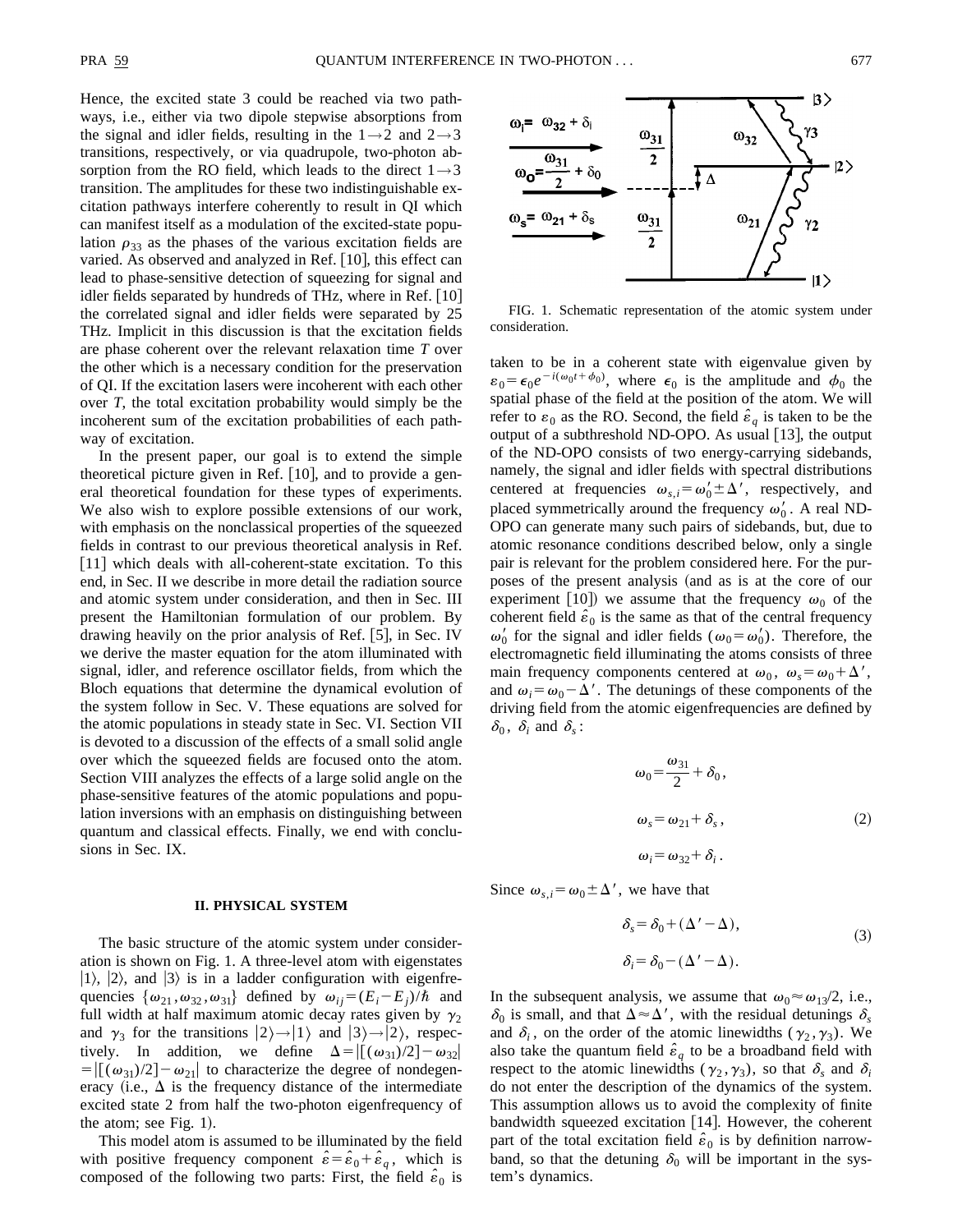Hence, the excited state 3 could be reached via two pathways, i.e., either via two dipole stepwise absorptions from the signal and idler fields, resulting in the 1*→*2 and 2*→*3 transitions, respectively, or via quadrupole, two-photon absorption from the RO field, which leads to the direct 1*→*3 transition. The amplitudes for these two indistinguishable excitation pathways interfere coherently to result in QI which can manifest itself as a modulation of the excited-state population  $\rho_{33}$  as the phases of the various excitation fields are varied. As observed and analyzed in Ref.  $[10]$ , this effect can lead to phase-sensitive detection of squeezing for signal and idler fields separated by hundreds of THz, where in Ref.  $[10]$ the correlated signal and idler fields were separated by 25 THz. Implicit in this discussion is that the excitation fields are phase coherent over the relevant relaxation time *T* over the other which is a necessary condition for the preservation of QI. If the excitation lasers were incoherent with each other over *T*, the total excitation probability would simply be the incoherent sum of the excitation probabilities of each pathway of excitation.

In the present paper, our goal is to extend the simple theoretical picture given in Ref.  $[10]$ , and to provide a general theoretical foundation for these types of experiments. We also wish to explore possible extensions of our work, with emphasis on the nonclassical properties of the squeezed fields in contrast to our previous theoretical analysis in Ref. [11] which deals with all-coherent-state excitation. To this end, in Sec. II we describe in more detail the radiation source and atomic system under consideration, and then in Sec. III present the Hamiltonian formulation of our problem. By drawing heavily on the prior analysis of Ref.  $|5|$ , in Sec. IV we derive the master equation for the atom illuminated with signal, idler, and reference oscillator fields, from which the Bloch equations that determine the dynamical evolution of the system follow in Sec. V. These equations are solved for the atomic populations in steady state in Sec. VI. Section VII is devoted to a discussion of the effects of a small solid angle over which the squeezed fields are focused onto the atom. Section VIII analyzes the effects of a large solid angle on the phase-sensitive features of the atomic populations and population inversions with an emphasis on distinguishing between quantum and classical effects. Finally, we end with conclusions in Sec. IX.

## **II. PHYSICAL SYSTEM**

The basic structure of the atomic system under consideration is shown on Fig. 1. A three-level atom with eigenstates  $|1\rangle$ ,  $|2\rangle$ , and  $|3\rangle$  is in a ladder configuration with eigenfrequencies  $\{\omega_{21}, \omega_{32}, \omega_{31}\}\$  defined by  $\omega_{ij} = (E_i - E_j)/\hbar$  and full width at half maximum atomic decay rates given by  $\gamma_2$ and  $\gamma_3$  for the transitions  $|2\rangle \rightarrow |1\rangle$  and  $|3\rangle \rightarrow |2\rangle$ , respectively. In addition, we define  $\Delta = |[(\omega_{31})/2] - \omega_{32}|$  $= |[(\omega_{31})/2] - \omega_{21}|$  to characterize the degree of nondegeneracy (i.e.,  $\Delta$  is the frequency distance of the intermediate excited state 2 from half the two-photon eigenfrequency of the atom; see Fig.  $1$ ).

This model atom is assumed to be illuminated by the field with positive frequency component  $\hat{\epsilon} = \hat{\epsilon}_0 + \hat{\epsilon}_q$ , which is composed of the following two parts: First, the field  $\hat{\epsilon}_0$  is



FIG. 1. Schematic representation of the atomic system under consideration.

taken to be in a coherent state with eigenvalue given by  $\varepsilon_0 = \epsilon_0 e^{-i(\omega_0 t + \phi_0)}$ , where  $\epsilon_0$  is the amplitude and  $\phi_0$  the spatial phase of the field at the position of the atom. We will refer to  $\varepsilon_0$  as the RO. Second, the field  $\hat{\varepsilon}_q$  is taken to be the output of a subthreshold ND-OPO. As usual  $[13]$ , the output of the ND-OPO consists of two energy-carrying sidebands, namely, the signal and idler fields with spectral distributions centered at frequencies  $\omega_{s,i} = \omega'_0 \pm \Delta'$ , respectively, and placed symmetrically around the frequency  $\omega_0'$ . A real ND-OPO can generate many such pairs of sidebands, but, due to atomic resonance conditions described below, only a single pair is relevant for the problem considered here. For the purposes of the present analysis (and as is at the core of our experiment [10]) we assume that the frequency  $\omega_0$  of the coherent field  $\hat{\epsilon}_0$  is the same as that of the central frequency  $\omega_0'$  for the signal and idler fields  $(\omega_0 = \omega_0')$ . Therefore, the electromagnetic field illuminating the atoms consists of three main frequency components centered at  $\omega_0$ ,  $\omega_s = \omega_0 + \Delta'$ , and  $\omega_i = \omega_0 - \Delta'$ . The detunings of these components of the driving field from the atomic eigenfrequencies are defined by  $\delta_0$ ,  $\delta_i$  and  $\delta_s$ :

$$
\omega_0 = \frac{\omega_{31}}{2} + \delta_0,
$$
  
\n
$$
\omega_s = \omega_{21} + \delta_s,
$$
  
\n
$$
\omega_i = \omega_{32} + \delta_i.
$$
\n(2)

Since  $\omega_{s,i} = \omega_0 \pm \Delta'$ , we have that

$$
\delta_s = \delta_0 + (\Delta' - \Delta),
$$
  
\n
$$
\delta_i = \delta_0 - (\Delta' - \Delta).
$$
\n(3)

In the subsequent analysis, we assume that  $\omega_0 \approx \omega_{13}/2$ , i.e.,  $\delta_0$  is small, and that  $\Delta \approx \Delta'$ , with the residual detunings  $\delta_s$ and  $\delta_i$ , on the order of the atomic linewidths ( $\gamma_2, \gamma_3$ ). We also take the quantum field  $\hat{\epsilon}_q$  to be a broadband field with respect to the atomic linewidths ( $\gamma_2, \gamma_3$ ), so that  $\delta_s$  and  $\delta_i$ do not enter the description of the dynamics of the system. This assumption allows us to avoid the complexity of finite bandwidth squeezed excitation  $[14]$ . However, the coherent part of the total excitation field  $\hat{\epsilon}_0$  is by definition narrowband, so that the detuning  $\delta_0$  will be important in the system's dynamics.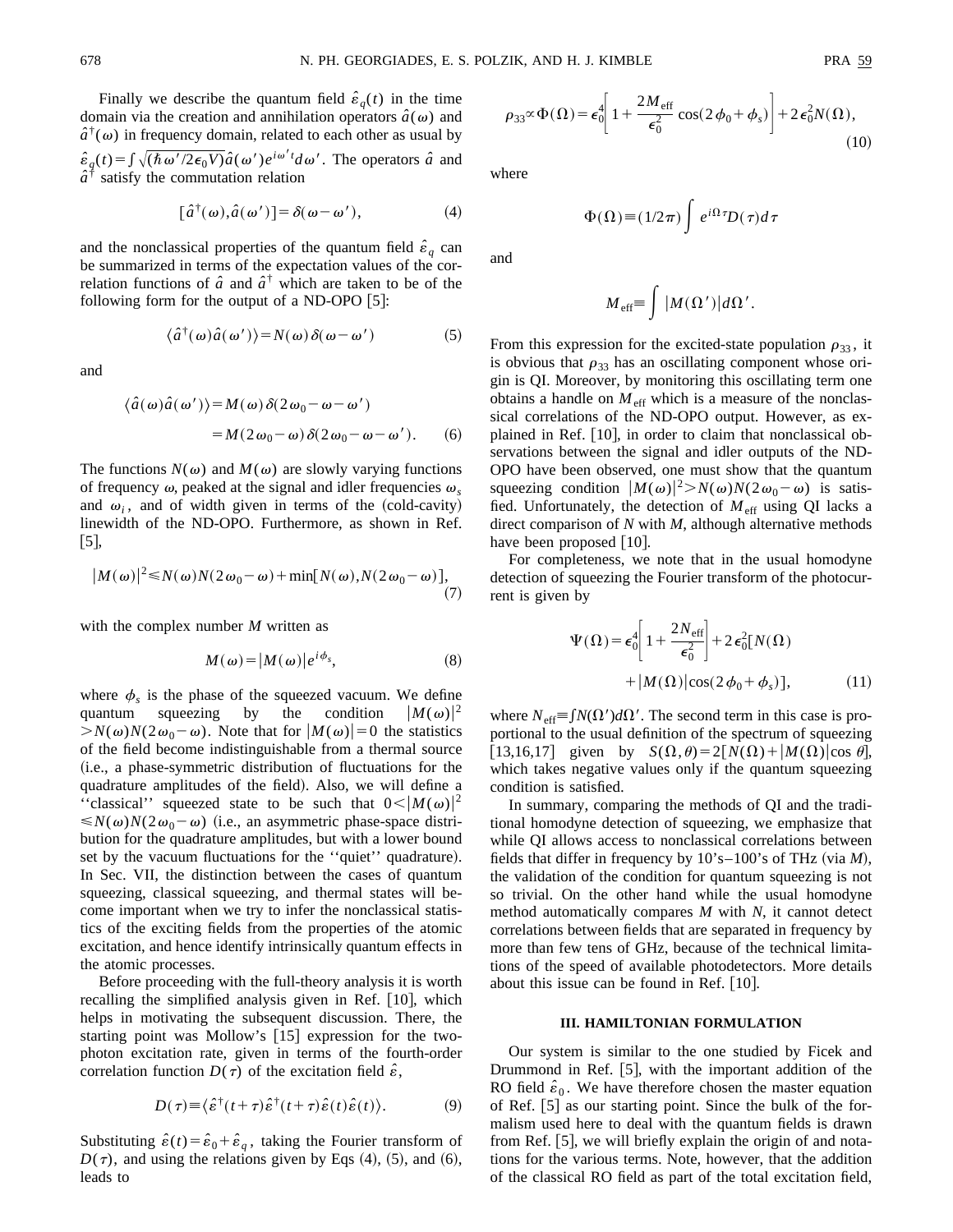Finally we describe the quantum field  $\hat{\epsilon}_q(t)$  in the time domain via the creation and annihilation operators  $\hat{a}(\omega)$  and  $\hat{a}^{\dagger}(\omega)$  in frequency domain, related to each other as usual by  $\hat{\epsilon}_q(t) = \int \sqrt{(\hbar \omega'/2\epsilon_0 V)} \hat{a}(\omega') e^{i\omega' t} d\omega'$ . The operators  $\hat{a}$  and  $\hat{a}^{\dagger}$  satisfy the commutation relation

$$
[\hat{a}^{\dagger}(\omega), \hat{a}(\omega')] = \delta(\omega - \omega'), \tag{4}
$$

and the nonclassical properties of the quantum field  $\hat{\epsilon}_q$  can be summarized in terms of the expectation values of the correlation functions of  $\hat{a}$  and  $\hat{a}^{\dagger}$  which are taken to be of the following form for the output of a ND-OPO  $[5]$ :

$$
\langle \hat{a}^{\dagger}(\omega)\hat{a}(\omega')\rangle = N(\omega)\delta(\omega - \omega')
$$
 (5)

and

$$
\langle \hat{a}(\omega)\hat{a}(\omega') \rangle = M(\omega)\delta(2\omega_0 - \omega - \omega')
$$
  
=  $M(2\omega_0 - \omega)\delta(2\omega_0 - \omega - \omega').$  (6)

The functions  $N(\omega)$  and  $M(\omega)$  are slowly varying functions of frequency  $\omega$ , peaked at the signal and idler frequencies  $\omega$ , and  $\omega_i$ , and of width given in terms of the (cold-cavity) linewidth of the ND-OPO. Furthermore, as shown in Ref.  $|5|$ ,

$$
|M(\omega)|^2 \le N(\omega)N(2\omega_0 - \omega) + \min[N(\omega), N(2\omega_0 - \omega)],
$$
\n(7)

with the complex number *M* written as

$$
M(\omega) = |M(\omega)|e^{i\phi_s}, \qquad (8)
$$

where  $\phi_s$  is the phase of the squeezed vacuum. We define quantum squeezing by the condition  $|M(\omega)|^2$  $>N(\omega)N(2\omega_0-\omega)$ . Note that for  $|M(\omega)|=0$  the statistics of the field become indistinguishable from a thermal source  $(i.e., a phase-symmetric distribution of fluctuations for the$ quadrature amplitudes of the field). Also, we will define a "classical" squeezed state to be such that  $0 < |M(\omega)|^2$  $\leq N(\omega)N(2\omega_0-\omega)$  (i.e., an asymmetric phase-space distribution for the quadrature amplitudes, but with a lower bound set by the vacuum fluctuations for the "quiet" quadrature). In Sec. VII, the distinction between the cases of quantum squeezing, classical squeezing, and thermal states will become important when we try to infer the nonclassical statistics of the exciting fields from the properties of the atomic excitation, and hence identify intrinsically quantum effects in the atomic processes.

Before proceeding with the full-theory analysis it is worth recalling the simplified analysis given in Ref. [10], which helps in motivating the subsequent discussion. There, the starting point was Mollow's  $[15]$  expression for the twophoton excitation rate, given in terms of the fourth-order correlation function  $D(\tau)$  of the excitation field  $\hat{\epsilon}$ ,

$$
D(\tau) \equiv \langle \hat{\varepsilon}^{\dagger}(t+\tau) \hat{\varepsilon}^{\dagger}(t+\tau) \hat{\varepsilon}(t) \hat{\varepsilon}(t) \rangle. \tag{9}
$$

Substituting  $\hat{\epsilon}(t) = \hat{\epsilon}_0 + \hat{\epsilon}_q$ , taking the Fourier transform of  $D(\tau)$ , and using the relations given by Eqs (4), (5), and (6), leads to

$$
\rho_{33} \propto \Phi(\Omega) = \epsilon_0^4 \left[ 1 + \frac{2M_{\text{eff}}}{\epsilon_0^2} \cos(2\phi_0 + \phi_s) \right] + 2\epsilon_0^2 N(\Omega), \tag{10}
$$

where

$$
\Phi(\Omega) \equiv (1/2\pi) \int e^{i\Omega \tau} D(\tau) d\tau
$$

and

$$
M_{\text{eff}} \equiv \int |M(\Omega')| d\Omega'.
$$

From this expression for the excited-state population  $\rho_{33}$ , it is obvious that  $\rho_{33}$  has an oscillating component whose origin is QI. Moreover, by monitoring this oscillating term one obtains a handle on  $M_{\text{eff}}$  which is a measure of the nonclassical correlations of the ND-OPO output. However, as explained in Ref.  $[10]$ , in order to claim that nonclassical observations between the signal and idler outputs of the ND-OPO have been observed, one must show that the quantum squeezing condition  $|M(\omega)|^2 > N(\omega)N(2\omega_0 - \omega)$  is satisfied. Unfortunately, the detection of  $M_{\text{eff}}$  using QI lacks a direct comparison of *N* with *M*, although alternative methods have been proposed  $[10]$ .

For completeness, we note that in the usual homodyne detection of squeezing the Fourier transform of the photocurrent is given by

$$
\Psi(\Omega) = \epsilon_0^4 \left[ 1 + \frac{2N_{\text{eff}}}{\epsilon_0^2} \right] + 2\epsilon_0^2 [N(\Omega) + |M(\Omega)| \cos(2\phi_0 + \phi_s)], \tag{11}
$$

where  $N_{\text{eff}} \equiv \int N(\Omega') d\Omega'$ . The second term in this case is proportional to the usual definition of the spectrum of squeezing [13,16,17] given by  $S(\Omega,\theta) = 2[N(\Omega)+|M(\Omega)|\cos \theta]$ , which takes negative values only if the quantum squeezing condition is satisfied.

In summary, comparing the methods of QI and the traditional homodyne detection of squeezing, we emphasize that while QI allows access to nonclassical correlations between fields that differ in frequency by  $10's - 100's$  of THz (via *M*), the validation of the condition for quantum squeezing is not so trivial. On the other hand while the usual homodyne method automatically compares *M* with *N*, it cannot detect correlations between fields that are separated in frequency by more than few tens of GHz, because of the technical limitations of the speed of available photodetectors. More details about this issue can be found in Ref.  $[10]$ .

#### **III. HAMILTONIAN FORMULATION**

Our system is similar to the one studied by Ficek and Drummond in Ref.  $[5]$ , with the important addition of the RO field  $\hat{\epsilon}_0$ . We have therefore chosen the master equation of Ref.  $[5]$  as our starting point. Since the bulk of the formalism used here to deal with the quantum fields is drawn from Ref.  $|5|$ , we will briefly explain the origin of and notations for the various terms. Note, however, that the addition of the classical RO field as part of the total excitation field,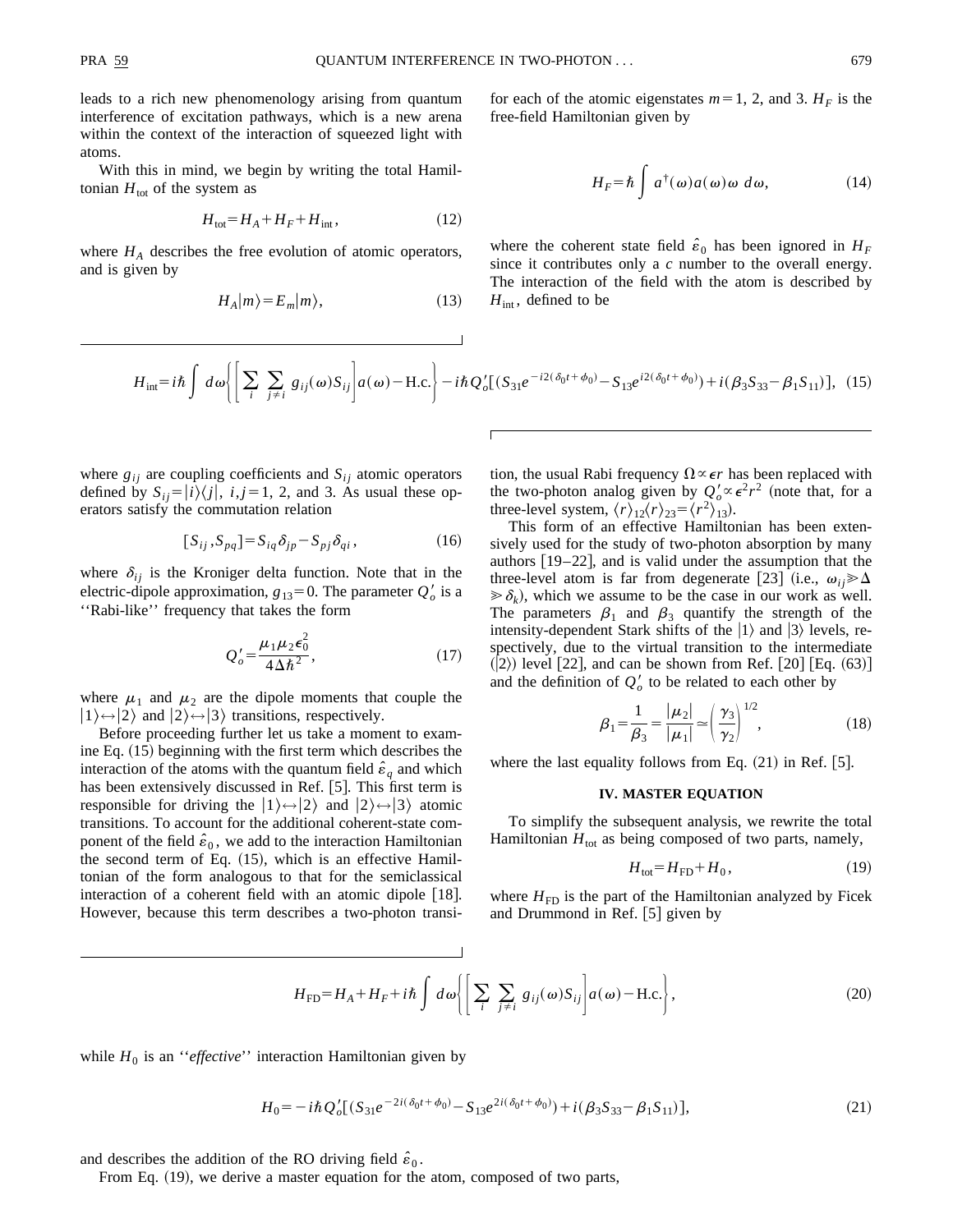leads to a rich new phenomenology arising from quantum interference of excitation pathways, which is a new arena within the context of the interaction of squeezed light with atoms.

With this in mind, we begin by writing the total Hamiltonian  $H_{\text{tot}}$  of the system as

$$
H_{\text{tot}} = H_A + H_F + H_{\text{int}},\tag{12}
$$

where  $H_A$  describes the free evolution of atomic operators, and is given by

$$
H_A|m\rangle = E_m|m\rangle,\tag{13}
$$

for each of the atomic eigenstates  $m=1$ , 2, and 3.  $H<sub>F</sub>$  is the free-field Hamiltonian given by

$$
H_F = \hbar \int a^{\dagger}(\omega) a(\omega) \omega \, d\omega, \tag{14}
$$

where the coherent state field  $\hat{\epsilon}_0$  has been ignored in  $H_F$ since it contributes only a *c* number to the overall energy. The interaction of the field with the atom is described by  $H_{\text{int}}$ , defined to be

$$
H_{\rm int} = i\hbar \int d\omega \left\{ \left[ \sum_{i} \sum_{j \neq i} g_{ij}(\omega) S_{ij} \right] a(\omega) - \text{H.c.} \right\} - i\hbar Q'_{o} \left[ (S_{31} e^{-i2(\delta_{0} t + \phi_{0})} - S_{13} e^{i2(\delta_{0} t + \phi_{0})}) + i(\beta_{3} S_{33} - \beta_{1} S_{11}) \right], (15)
$$

where  $g_{ij}$  are coupling coefficients and  $S_{ij}$  atomic operators defined by  $S_{ij} = |i\rangle\langle j|, i, j = 1, 2,$  and 3. As usual these operators satisfy the commutation relation

$$
[S_{ij}, S_{pq}] = S_{iq} \delta_{jp} - S_{pj} \delta_{qi}, \qquad (16)
$$

where  $\delta_{ij}$  is the Kroniger delta function. Note that in the electric-dipole approximation,  $g_{13}=0$ . The parameter  $Q'_{o}$  is a ''Rabi-like'' frequency that takes the form

$$
Q'_{o} = \frac{\mu_1 \mu_2 \epsilon_0^2}{4 \Delta \hbar^2},\tag{17}
$$

where  $\mu_1$  and  $\mu_2$  are the dipole moments that couple the  $|1\rangle \leftrightarrow |2\rangle$  and  $|2\rangle \leftrightarrow |3\rangle$  transitions, respectively.

Before proceeding further let us take a moment to examine Eq.  $(15)$  beginning with the first term which describes the interaction of the atoms with the quantum field  $\hat{\epsilon}_q$  and which has been extensively discussed in Ref. [5]. This first term is responsible for driving the  $|1\rangle \leftrightarrow |2\rangle$  and  $|2\rangle \leftrightarrow |3\rangle$  atomic transitions. To account for the additional coherent-state component of the field  $\hat{\epsilon}_0$ , we add to the interaction Hamiltonian the second term of Eq.  $(15)$ , which is an effective Hamiltonian of the form analogous to that for the semiclassical interaction of a coherent field with an atomic dipole  $[18]$ . However, because this term describes a two-photon transition, the usual Rabi frequency  $\Omega \propto \epsilon r$  has been replaced with the two-photon analog given by  $Q'_o \propto \epsilon^2 r^2$  (note that, for a three-level system,  $\langle r \rangle_{12} \langle r \rangle_{23} = \langle r^2 \rangle_{13}$ .

This form of an effective Hamiltonian has been extensively used for the study of two-photon absorption by many authors  $[19–22]$ , and is valid under the assumption that the three-level atom is far from degenerate [23] (i.e.,  $\omega_{ii} \ge \Delta$  $\gg \delta_k$ ), which we assume to be the case in our work as well. The parameters  $\beta_1$  and  $\beta_3$  quantify the strength of the intensity-dependent Stark shifts of the  $|1\rangle$  and  $|3\rangle$  levels, respectively, due to the virtual transition to the intermediate  $\langle 2 \rangle$  level [22], and can be shown from Ref. [20] [Eq.  $(63)$ ] and the definition of  $Q'_{o}$  to be related to each other by

$$
\beta_1 = \frac{1}{\beta_3} = \frac{|\mu_2|}{|\mu_1|} \approx \left(\frac{\gamma_3}{\gamma_2}\right)^{1/2},
$$
\n(18)

where the last equality follows from Eq.  $(21)$  in Ref. [5].

## **IV. MASTER EQUATION**

To simplify the subsequent analysis, we rewrite the total Hamiltonian  $H_{\text{tot}}$  as being composed of two parts, namely,

$$
H_{\text{tot}} = H_{\text{FD}} + H_0,\tag{19}
$$

where  $H_{FD}$  is the part of the Hamiltonian analyzed by Ficek and Drummond in Ref.  $[5]$  given by

$$
H_{\rm FD} = H_A + H_F + i\hbar \int d\omega \left\{ \left[ \sum_i \sum_{j \neq i} g_{ij}(\omega) S_{ij} \right] a(\omega) - \text{H.c.} \right\},\tag{20}
$$

while  $H_0$  is an "*effective*" interaction Hamiltonian given by

$$
H_0 = -i\hbar Q_o'[(S_{31}e^{-2i(\delta_0 t + \phi_0)} - S_{13}e^{2i(\delta_0 t + \phi_0)}) + i(\beta_3 S_{33} - \beta_1 S_{11})],
$$
\n(21)

and describes the addition of the RO driving field  $\hat{\epsilon}_0$ .

From Eq. (19), we derive a master equation for the atom, composed of two parts,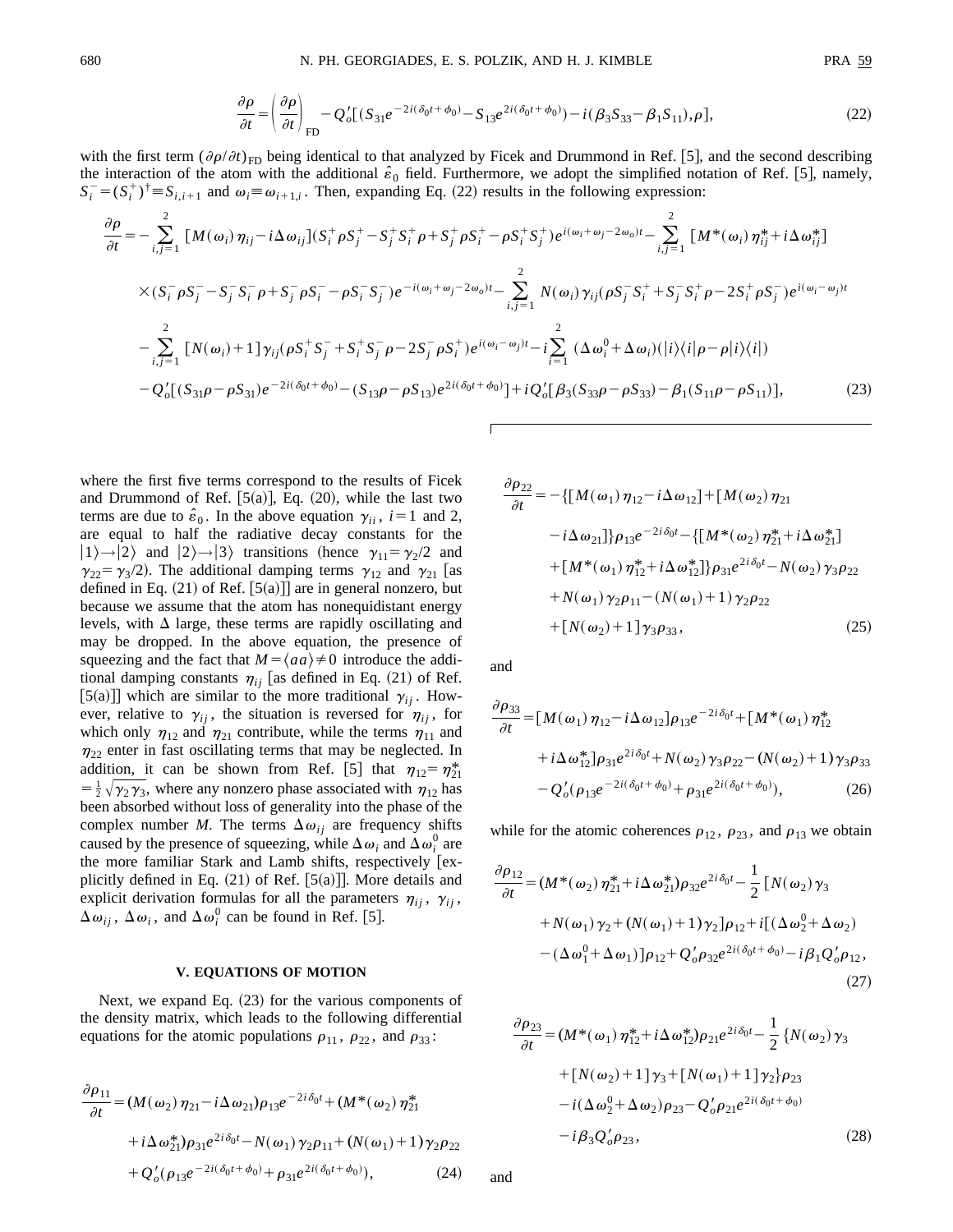$$
\frac{\partial \rho}{\partial t} = \left(\frac{\partial \rho}{\partial t}\right)_{\text{FD}} - Q'_{o}[(S_{31}e^{-2i(\delta_{0}t + \phi_{0})} - S_{13}e^{2i(\delta_{0}t + \phi_{0})}) - i(\beta_{3}S_{33} - \beta_{1}S_{11}), \rho],\tag{22}
$$

with the first term  $(\partial \rho/\partial t)_{FD}$  being identical to that analyzed by Ficek and Drummond in Ref. [5], and the second describing the interaction of the atom with the additional  $\hat{\epsilon}_0$  field. Furthermore, we adopt the simplified notation of Ref. [5], namely,  $S_i^- = (S_i^+)^{\dagger} \equiv S_{i,i+1}$  and  $\omega_i \equiv \omega_{i+1,i}$ . Then, expanding Eq. (22) results in the following expression:

$$
\frac{\partial \rho}{\partial t} = -\sum_{i,j=1}^{2} [M(\omega_{i}) \eta_{ij} - i\Delta \omega_{ij}] (S_{i}^{+} \rho S_{j}^{+} - S_{j}^{+} S_{i}^{+} \rho + S_{j}^{+} \rho S_{i}^{+} - \rho S_{i}^{+} S_{j}^{+}) e^{i(\omega_{i} + \omega_{j} - 2\omega_{o})t} - \sum_{i,j=1}^{2} [M^{*}(\omega_{i}) \eta_{ij}^{*} + i\Delta \omega_{ij}^{*}]
$$
\n
$$
\times (S_{i}^{-} \rho S_{j}^{-} - S_{j}^{-} S_{i}^{-} \rho + S_{j}^{-} \rho S_{i}^{-} - \rho S_{i}^{-} S_{j}^{-}) e^{-i(\omega_{i} + \omega_{j} - 2\omega_{o})t} - \sum_{i,j=1}^{2} N(\omega_{i}) \gamma_{ij} (\rho S_{j}^{-} S_{i}^{+} + S_{j}^{-} S_{i}^{+} \rho - 2S_{i}^{+} \rho S_{j}^{-}) e^{i(\omega_{i} - \omega_{j})t}
$$
\n
$$
-\sum_{i,j=1}^{2} [N(\omega_{i}) + 1] \gamma_{ij} (\rho S_{i}^{+} S_{j}^{-} + S_{i}^{+} S_{j}^{-} \rho - 2S_{j}^{-} \rho S_{i}^{+}) e^{i(\omega_{i} - \omega_{j})t} - i \sum_{i=1}^{2} (\Delta \omega_{i}^{0} + \Delta \omega_{i}) (|\dot{\gamma}\langle i| \rho - \rho |i\rangle\langle i|)
$$
\n
$$
-Q'_{o}[(S_{31}\rho - \rho S_{31})e^{-2i(\delta_{0}t + \phi_{0})} - (S_{13}\rho - \rho S_{13})e^{2i(\delta_{0}t + \phi_{0})}] + iQ'_{o}[\beta_{3}(S_{33}\rho - \rho S_{33}) - \beta_{1}(S_{11}\rho - \rho S_{11})], \qquad (23)
$$

where the first five terms correspond to the results of Ficek and Drummond of Ref.  $[5(a)]$ , Eq.  $(20)$ , while the last two terms are due to  $\hat{\epsilon}_0$ . In the above equation  $\gamma_{ii}$ ,  $i=1$  and 2, are equal to half the radiative decay constants for the  $|1\rangle \rightarrow |2\rangle$  and  $|2\rangle \rightarrow |3\rangle$  transitions (hence  $\gamma_{11} = \gamma_2/2$  and  $\gamma_{22} = \gamma_3/2$ ). The additional damping terms  $\gamma_{12}$  and  $\gamma_{21}$  [as defined in Eq.  $(21)$  of Ref.  $[5(a)]$  are in general nonzero, but because we assume that the atom has nonequidistant energy levels, with  $\Delta$  large, these terms are rapidly oscillating and may be dropped. In the above equation, the presence of squeezing and the fact that  $M = \langle aa \rangle \neq 0$  introduce the additional damping constants  $\eta_{ii}$  [as defined in Eq. (21) of Ref. [5(a)]] which are similar to the more traditional  $\gamma_{ii}$ . However, relative to  $\gamma_{ij}$ , the situation is reversed for  $\eta_{ij}$ , for which only  $\eta_{12}$  and  $\eta_{21}$  contribute, while the terms  $\eta_{11}$  and  $\eta_{22}$  enter in fast oscillating terms that may be neglected. In addition, it can be shown from Ref. [5] that  $\eta_{12} = \eta_{21}^*$  $= \frac{1}{2}\sqrt{\gamma_2\gamma_3}$ , where any nonzero phase associated with  $\eta_{12}$  has been absorbed without loss of generality into the phase of the complex number *M*. The terms  $\Delta \omega_{ij}$  are frequency shifts caused by the presence of squeezing, while  $\Delta \omega_i$  and  $\Delta \omega_i^0$  are the more familiar Stark and Lamb shifts, respectively [explicitly defined in Eq.  $(21)$  of Ref.  $[5(a)]$ . More details and explicit derivation formulas for all the parameters  $\eta_{ij}$ ,  $\gamma_{ij}$ ,  $\Delta \omega_{ij}$ ,  $\Delta \omega_i$ , and  $\Delta \omega_i^0$  can be found in Ref. [5].

#### **V. EQUATIONS OF MOTION**

Next, we expand Eq.  $(23)$  for the various components of the density matrix, which leads to the following differential equations for the atomic populations  $\rho_{11}$ ,  $\rho_{22}$ , and  $\rho_{33}$ :

$$
\frac{\partial \rho_{11}}{\partial t} = (M(\omega_2) \eta_{21} - i\Delta \omega_{21}) \rho_{13} e^{-2i\delta_0 t} + (M^*(\omega_2) \eta_{21}^* \n+ i\Delta \omega_{21}^*) \rho_{31} e^{2i\delta_0 t} - N(\omega_1) \gamma_2 \rho_{11} + (N(\omega_1) + 1) \gamma_2 \rho_{22} \n+ Q_o'(\rho_{13} e^{-2i(\delta_0 t + \phi_0)} + \rho_{31} e^{2i(\delta_0 t + \phi_0)}),
$$
\n(24)

$$
\frac{\partial \rho_{22}}{\partial t} = -\{ [M(\omega_1) \eta_{12} - i\Delta \omega_{12}] + [M(\omega_2) \eta_{21} \n- i\Delta \omega_{21}] \} \rho_{13} e^{-2i\delta_0 t} - \{ [M^*(\omega_2) \eta_{21}^* + i\Delta \omega_{21}^*] \n+ [M^*(\omega_1) \eta_{12}^* + i\Delta \omega_{12}^*] \} \rho_{31} e^{2i\delta_0 t} - N(\omega_2) \gamma_3 \rho_{22} \n+ N(\omega_1) \gamma_2 \rho_{11} - (N(\omega_1) + 1) \gamma_2 \rho_{22} \n+ [N(\omega_2) + 1] \gamma_3 \rho_{33}, \qquad (25)
$$

and

$$
\frac{\partial \rho_{33}}{\partial t} = [M(\omega_1) \eta_{12} - i\Delta \omega_{12}] \rho_{13} e^{-2i\delta_0 t} + [M^*(\omega_1) \eta_{12}^* + i\Delta \omega_{12}^*] \rho_{31} e^{2i\delta_0 t} + N(\omega_2) \gamma_3 \rho_{22} - (N(\omega_2) + 1) \gamma_3 \rho_{33} - Q'(\rho_{13} e^{-2i(\delta_0 t + \phi_0)} + \rho_{31} e^{2i(\delta_0 t + \phi_0)}), \qquad (26)
$$

while for the atomic coherences  $\rho_{12}$ ,  $\rho_{23}$ , and  $\rho_{13}$  we obtain

$$
\frac{\partial \rho_{12}}{\partial t} = (M^*(\omega_2) \eta_{21}^* + i\Delta \omega_{21}^*) \rho_{32} e^{2i\delta_0 t} - \frac{1}{2} [N(\omega_2) \gamma_3 + N(\omega_1) \gamma_2 + (N(\omega_1) + 1) \gamma_2] \rho_{12} + i [(\Delta \omega_2^0 + \Delta \omega_2) - (\Delta \omega_1^0 + \Delta \omega_1)] \rho_{12} + Q_o' \rho_{32} e^{2i(\delta_0 t + \phi_0)} - i \beta_1 Q_o' \rho_{12},
$$
\n(27)

$$
\frac{\partial \rho_{23}}{\partial t} = (M^*(\omega_1) \eta_{12}^* + i\Delta \omega_{12}^*) \rho_{21} e^{2i\delta_0 t} - \frac{1}{2} \{N(\omega_2) \gamma_3 + [N(\omega_2) + 1] \gamma_2\} \rho_{23}
$$

$$
+ [\alpha(\omega_2) + 1] \gamma_3 + [N(\omega_1) + 1] \gamma_2\} \rho_{23}
$$

$$
- i(\Delta \omega_2^0 + \Delta \omega_2) \rho_{23} - Q_o' \rho_{21} e^{2i(\delta_0 t + \phi_0)}
$$

$$
- i\beta_3 Q_o' \rho_{23}, \qquad (28)
$$

and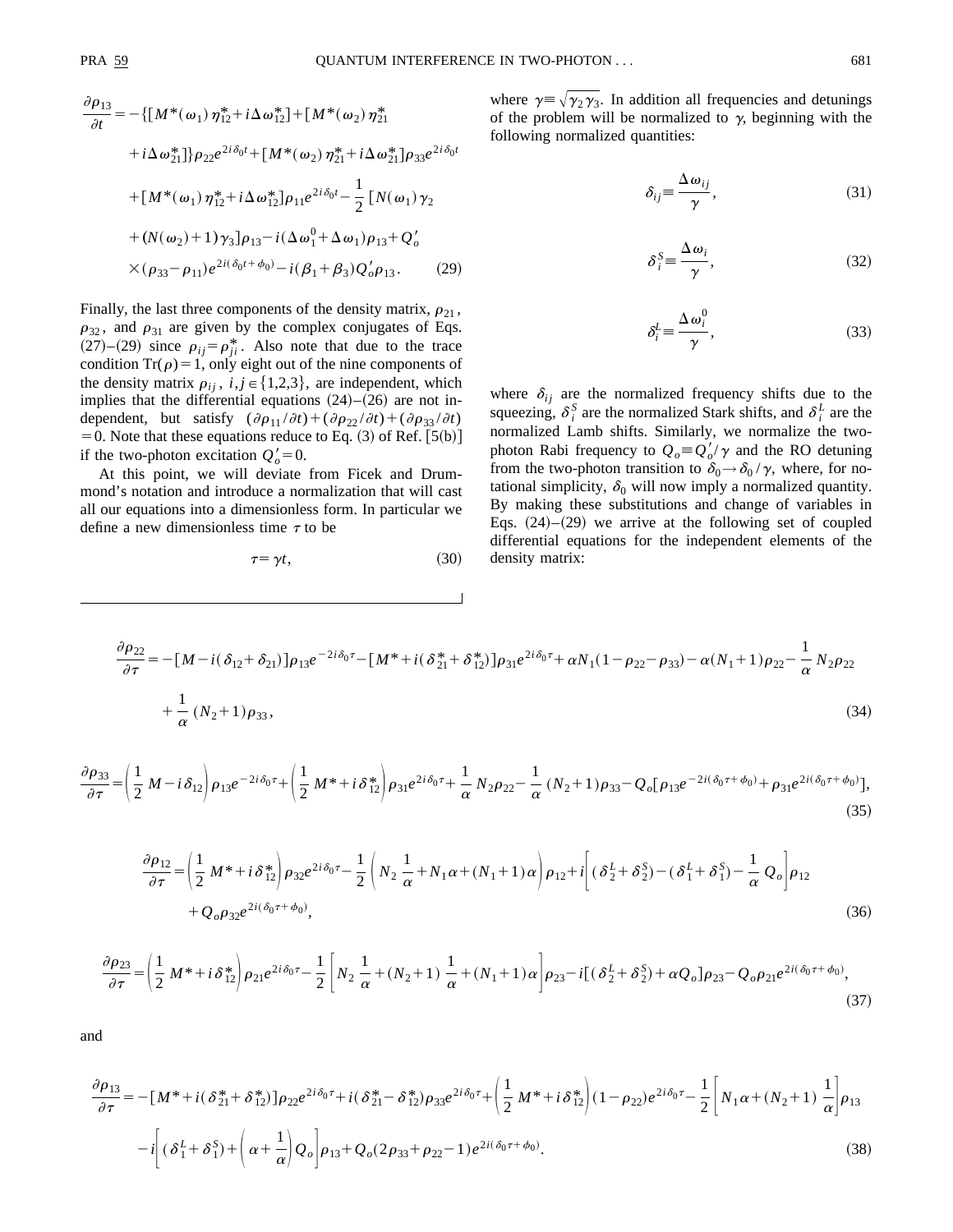$$
\frac{\partial \rho_{13}}{\partial t} = -\{ \left[ M^*(\omega_1) \eta_{12}^* + i \Delta \omega_{12}^* \right] + \left[ M^*(\omega_2) \eta_{21}^* \right. \\ \left. + i \Delta \omega_{21}^* \right] \} \rho_{22} e^{2i\delta_0 t} + \left[ M^*(\omega_2) \eta_{21}^* + i \Delta \omega_{21}^* \right] \rho_{33} e^{2i\delta_0 t} \\ \left. + \left[ M^*(\omega_1) \eta_{12}^* + i \Delta \omega_{12}^* \right] \rho_{11} e^{2i\delta_0 t} - \frac{1}{2} \left[ N(\omega_1) \gamma_2 \right. \\ \left. + (N(\omega_2) + 1) \gamma_3 \right] \rho_{13} - i (\Delta \omega_1^0 + \Delta \omega_1) \rho_{13} + Q'_{\circ} \\ \left. \times (\rho_{33} - \rho_{11}) e^{2i(\delta_0 t + \phi_0)} - i (\beta_1 + \beta_3) Q'_{\circ} \rho_{13}. \right. \tag{29}
$$

Finally, the last three components of the density matrix,  $\rho_{21}$ ,  $\rho_{32}$ , and  $\rho_{31}$  are given by the complex conjugates of Eqs.  $(27)$ – $(29)$  since  $\rho_{ij} = \rho_{ji}^*$ . Also note that due to the trace condition Tr( $\rho$ ) = 1, only eight out of the nine components of the density matrix  $\rho_{ij}$ ,  $i, j \in \{1,2,3\}$ , are independent, which implies that the differential equations  $(24)–(26)$  are not independent, but satisfy  $(\partial \rho_{11}/\partial t) + (\partial \rho_{22}/\partial t) + (\partial \rho_{33}/\partial t)$  $=0.$  Note that these equations reduce to Eq. (3) of Ref.  $[5(b)]$ if the two-photon excitation  $Q'_{o} = 0$ .

At this point, we will deviate from Ficek and Drummond's notation and introduce a normalization that will cast all our equations into a dimensionless form. In particular we define a new dimensionless time  $\tau$  to be

$$
\tau = \gamma t,\tag{30}
$$

where 
$$
\gamma = \sqrt{\gamma_2 \gamma_3}
$$
. In addition all frequencies and detunings  
of the problem will be normalized to  $\gamma$ , beginning with the  
following normalized quantities:

$$
\delta_{ij} \equiv \frac{\Delta \omega_{ij}}{\gamma},\tag{31}
$$

$$
\delta_i^S \equiv \frac{\Delta \omega_i}{\gamma},\tag{32}
$$

$$
\delta_i^L \equiv \frac{\Delta \omega_i^0}{\gamma},\tag{33}
$$

where  $\delta_{ij}$  are the normalized frequency shifts due to the squeezing,  $\delta_i^S$  are the normalized Stark shifts, and  $\delta_i^L$  are the normalized Lamb shifts. Similarly, we normalize the twophoton Rabi frequency to  $Q_o = Q'_o / \gamma$  and the RO detuning from the two-photon transition to  $\delta_0 \rightarrow \delta_0 / \gamma$ , where, for notational simplicity,  $\delta_0$  will now imply a normalized quantity. By making these substitutions and change of variables in Eqs.  $(24)$ – $(29)$  we arrive at the following set of coupled differential equations for the independent elements of the density matrix:

$$
\frac{\partial \rho_{22}}{\partial \tau} = -[M - i(\delta_{12} + \delta_{21})]\rho_{13}e^{-2i\delta_0\tau} - [M^* + i(\delta_{21}^* + \delta_{12}^*)]\rho_{31}e^{2i\delta_0\tau} + \alpha N_1(1 - \rho_{22} - \rho_{33}) - \alpha(N_1 + 1)\rho_{22} - \frac{1}{\alpha}N_2\rho_{22} + \frac{1}{\alpha}(N_2 + 1)\rho_{33},
$$
\n(34)

$$
\frac{\partial \rho_{33}}{\partial \tau} = \left(\frac{1}{2} M - i \delta_{12}\right) \rho_{13} e^{-2i\delta_0 \tau} + \left(\frac{1}{2} M^* + i \delta_{12}^* \right) \rho_{31} e^{2i\delta_0 \tau} + \frac{1}{\alpha} N_2 \rho_{22} - \frac{1}{\alpha} (N_2 + 1) \rho_{33} - Q_o[\rho_{13} e^{-2i(\delta_0 \tau + \phi_0)} + \rho_{31} e^{2i(\delta_0 \tau + \phi_0)}],
$$
\n(35)

$$
\frac{\partial \rho_{12}}{\partial \tau} = \left(\frac{1}{2} M^* + i \delta_{12}^* \right) \rho_{32} e^{2i\delta_0 \tau} - \frac{1}{2} \left( N_2 \frac{1}{\alpha} + N_1 \alpha + (N_1 + 1) \alpha \right) \rho_{12} + i \left[ (\delta_2^L + \delta_2^S) - (\delta_1^L + \delta_1^S) - \frac{1}{\alpha} Q_o \right] \rho_{12} + Q_o \rho_{32} e^{2i(\delta_0 \tau + \phi_0)},
$$
\n(36)

$$
\frac{\partial \rho_{23}}{\partial \tau} = \left(\frac{1}{2} M^* + i \delta_{12}^* \right) \rho_{21} e^{2i\delta_0 \tau} - \frac{1}{2} \left[ N_2 \frac{1}{\alpha} + (N_2 + 1) \frac{1}{\alpha} + (N_1 + 1) \alpha \right] \rho_{23} - i \left[ (\delta_2^L + \delta_2^S) + \alpha Q_o \right] \rho_{23} - Q_o \rho_{21} e^{2i(\delta_0 \tau + \phi_0)},\tag{37}
$$

and

$$
\frac{\partial \rho_{13}}{\partial \tau} = -\left[M^* + i(\delta_{21}^* + \delta_{12}^*)\right] \rho_{22} e^{2i\delta_0 \tau} + i(\delta_{21}^* - \delta_{12}^*) \rho_{33} e^{2i\delta_0 \tau} + \left(\frac{1}{2} M^* + i\delta_{12}^*\right) (1 - \rho_{22}) e^{2i\delta_0 \tau} - \frac{1}{2} \left[N_1 \alpha + (N_2 + 1) \frac{1}{\alpha}\right] \rho_{13}
$$

$$
-i \left[ (\delta_1^L + \delta_1^S) + \left(\alpha + \frac{1}{\alpha}\right) Q_o \right] \rho_{13} + Q_o (2\rho_{33} + \rho_{22} - 1) e^{2i(\delta_0 \tau + \phi_0)}.
$$
(38)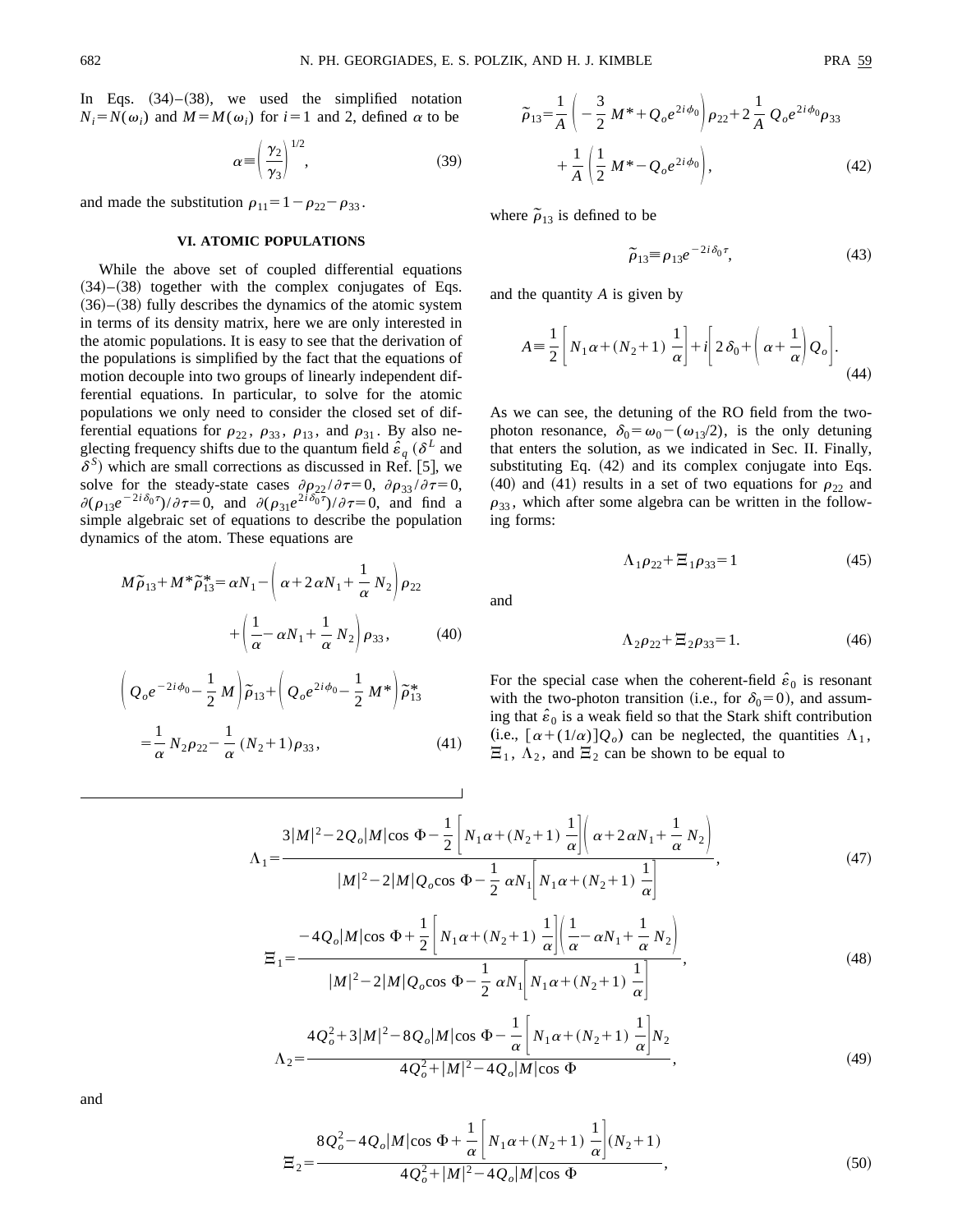In Eqs.  $(34)$ – $(38)$ , we used the simplified notation  $N_i = N(\omega_i)$  and  $M = M(\omega_i)$  for  $i = 1$  and 2, defined  $\alpha$  to be

$$
\alpha \equiv \left(\frac{\gamma_2}{\gamma_3}\right)^{1/2},\tag{39}
$$

and made the substitution  $\rho_{11}=1-\rho_{22}-\rho_{33}$ .

## **VI. ATOMIC POPULATIONS**

While the above set of coupled differential equations  $(34)$ – $(38)$  together with the complex conjugates of Eqs.  $(36)$ – $(38)$  fully describes the dynamics of the atomic system in terms of its density matrix, here we are only interested in the atomic populations. It is easy to see that the derivation of the populations is simplified by the fact that the equations of motion decouple into two groups of linearly independent differential equations. In particular, to solve for the atomic populations we only need to consider the closed set of differential equations for  $\rho_{22}$ ,  $\rho_{33}$ ,  $\rho_{13}$ , and  $\rho_{31}$ . By also neglecting frequency shifts due to the quantum field  $\hat{\epsilon}_q$  ( $\delta^L$  and  $\delta$ <sup>S</sup>) which are small corrections as discussed in Ref. [5], we solve for the steady-state cases  $\partial \rho_{22} / \partial \tau = 0$ ,  $\partial \rho_{33} / \partial \tau = 0$ ,  $\partial(\rho_{13}e^{-2i\delta_0\tau})/\partial \tau=0$ , and  $\partial(\rho_{31}e^{2i\delta_0\tau})/\partial \tau=0$ , and find a simple algebraic set of equations to describe the population dynamics of the atom. These equations are

$$
M\widetilde{\rho}_{13} + M^* \widetilde{\rho}_{13}^* = \alpha N_1 - \left(\alpha + 2\alpha N_1 + \frac{1}{\alpha} N_2\right)\rho_{22}
$$

$$
+ \left(\frac{1}{\alpha} - \alpha N_1 + \frac{1}{\alpha} N_2\right)\rho_{33},\tag{40}
$$

$$
\left(Q_{o}e^{-2i\phi_{0}} - \frac{1}{2}M\right)\tilde{\rho}_{13} + \left(Q_{o}e^{2i\phi_{0}} - \frac{1}{2}M^{*}\right)\tilde{\rho}_{13}^{*}
$$

$$
= \frac{1}{\alpha}N_{2}\rho_{22} - \frac{1}{\alpha}(N_{2}+1)\rho_{33},\tag{41}
$$

$$
\tilde{\rho}_{13} = \frac{1}{A} \left( -\frac{3}{2} M^* + Q_o e^{2i\phi_0} \right) \rho_{22} + 2 \frac{1}{A} Q_o e^{2i\phi_0} \rho_{33} + \frac{1}{A} \left( \frac{1}{2} M^* - Q_o e^{2i\phi_0} \right),
$$
\n(42)

where  $\tilde{\rho}_{13}$  is defined to be

$$
\tilde{\rho}_{13} \equiv \rho_{13} e^{-2i\delta_0 \tau}, \tag{43}
$$

and the quantity *A* is given by

$$
A = \frac{1}{2} \left[ N_1 \alpha + (N_2 + 1) \frac{1}{\alpha} \right] + i \left[ 2 \delta_0 + \left( \alpha + \frac{1}{\alpha} \right) Q_o \right].
$$
\n(44)

As we can see, the detuning of the RO field from the twophoton resonance,  $\delta_0 = \omega_0 - (\omega_{13}/2)$ , is the only detuning that enters the solution, as we indicated in Sec. II. Finally, substituting Eq.  $(42)$  and its complex conjugate into Eqs. (40) and (41) results in a set of two equations for  $\rho_{22}$  and  $\rho_{33}$ , which after some algebra can be written in the following forms:

$$
\Lambda_1 \rho_{22} + \Xi_1 \rho_{33} = 1 \tag{45}
$$

and

$$
\Lambda_2 \rho_{22} + \Xi_2 \rho_{33} = 1. \tag{46}
$$

For the special case when the coherent-field  $\hat{\epsilon}_0$  is resonant with the two-photon transition (i.e., for  $\delta_0 = 0$ ), and assuming that  $\hat{\epsilon}_0$  is a weak field so that the Stark shift contribution (i.e.,  $[\alpha+(1/\alpha)]Q_o$ ) can be neglected, the quantities  $\Lambda_1$ ,  $\Xi_1$ ,  $\Lambda_2$ , and  $\Xi_2$  can be shown to be equal to

$$
\Lambda_{1} = \frac{3|M|^{2} - 2Q_{o}|M|\cos\Phi - \frac{1}{2}\left[N_{1}\alpha + (N_{2} + 1)\frac{1}{\alpha}\right]\left(\alpha + 2\alpha N_{1} + \frac{1}{\alpha}N_{2}\right)}{|M|^{2} - 2|M|Q_{o}\cos\Phi - \frac{1}{2}\alpha N_{1}\left[N_{1}\alpha + (N_{2} + 1)\frac{1}{\alpha}\right]},
$$
\n(47)

$$
\Xi_{1} = \frac{-4Q_{o}|M|\cos\Phi + \frac{1}{2}\left[N_{1}\alpha + (N_{2}+1)\frac{1}{\alpha}\right]\left(\frac{1}{\alpha} - \alpha N_{1} + \frac{1}{\alpha}N_{2}\right)}{|M|^{2} - 2|M|Q_{o}\cos\Phi - \frac{1}{2}\alpha N_{1}\left[N_{1}\alpha + (N_{2}+1)\frac{1}{\alpha}\right]},
$$
\n(48)

$$
\Lambda_2 = \frac{4Q_o^2 + 3|M|^2 - 8Q_o|M|\cos\Phi - \frac{1}{\alpha}\left[N_1\alpha + (N_2 + 1)\frac{1}{\alpha}\right]N_2}{4Q_o^2 + |M|^2 - 4Q_o|M|\cos\Phi},\tag{49}
$$

and

$$
\Xi_2 = \frac{8Q_o^2 - 4Q_o|M|\cos\Phi + \frac{1}{\alpha}\left[N_1\alpha + (N_2 + 1)\frac{1}{\alpha}\right](N_2 + 1)}{4Q_o^2 + |M|^2 - 4Q_o|M|\cos\Phi},\tag{50}
$$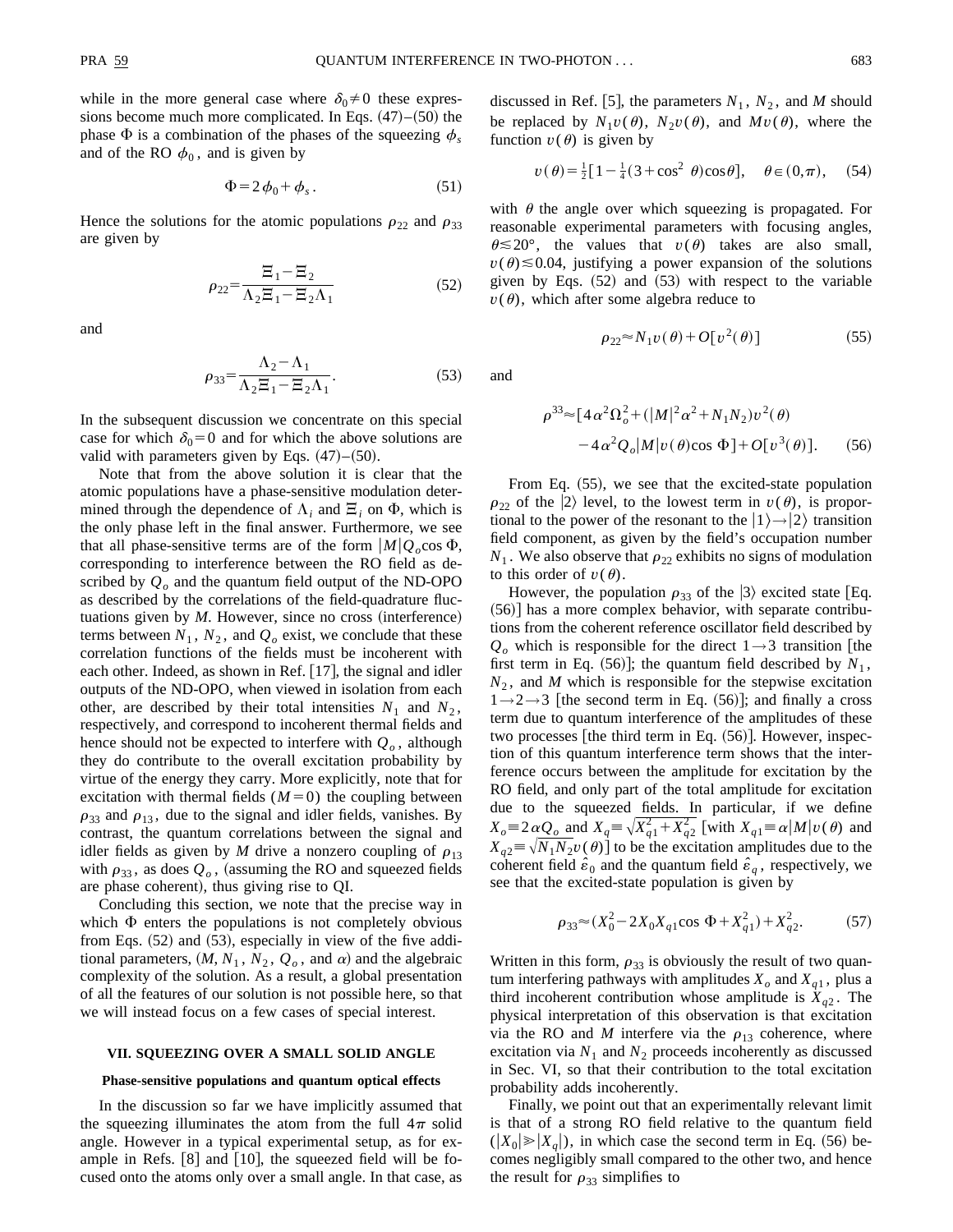while in the more general case where  $\delta_0 \neq 0$  these expressions become much more complicated. In Eqs.  $(47)$ – $(50)$  the phase  $\Phi$  is a combination of the phases of the squeezing  $\phi_s$ and of the RO  $\phi_0$ , and is given by

$$
\Phi = 2\,\phi_0 + \phi_s \,. \tag{51}
$$

Hence the solutions for the atomic populations  $\rho_{22}$  and  $\rho_{33}$ are given by

$$
\rho_{22} = \frac{\Xi_1 - \Xi_2}{\Lambda_2 \Xi_1 - \Xi_2 \Lambda_1}
$$
\n(52)

and

$$
\rho_{33} = \frac{\Lambda_2 - \Lambda_1}{\Lambda_2 \Xi_1 - \Xi_2 \Lambda_1}.
$$
\n(53)

In the subsequent discussion we concentrate on this special case for which  $\delta_0 = 0$  and for which the above solutions are valid with parameters given by Eqs.  $(47)–(50)$ .

Note that from the above solution it is clear that the atomic populations have a phase-sensitive modulation determined through the dependence of  $\Lambda_i$  and  $\Xi_i$  on  $\Phi$ , which is the only phase left in the final answer. Furthermore, we see that all phase-sensitive terms are of the form  $|M|_{Q_{\alpha} \cos \Phi}$ , corresponding to interference between the RO field as described by  $Q_0$  and the quantum field output of the ND-OPO as described by the correlations of the field-quadrature fluctuations given by  $M$ . However, since no cross (interference) terms between  $N_1$ ,  $N_2$ , and  $Q_0$  exist, we conclude that these correlation functions of the fields must be incoherent with each other. Indeed, as shown in Ref.  $[17]$ , the signal and idler outputs of the ND-OPO, when viewed in isolation from each other, are described by their total intensities  $N_1$  and  $N_2$ , respectively, and correspond to incoherent thermal fields and hence should not be expected to interfere with  $Q<sub>o</sub>$ , although they do contribute to the overall excitation probability by virtue of the energy they carry. More explicitly, note that for excitation with thermal fields  $(M=0)$  the coupling between  $\rho_{33}$  and  $\rho_{13}$ , due to the signal and idler fields, vanishes. By contrast, the quantum correlations between the signal and idler fields as given by *M* drive a nonzero coupling of  $\rho_{13}$ with  $\rho_{33}$ , as does  $Q_o$ , (assuming the RO and squeezed fields are phase coherent), thus giving rise to QI.

Concluding this section, we note that the precise way in which  $\Phi$  enters the populations is not completely obvious from Eqs.  $(52)$  and  $(53)$ , especially in view of the five additional parameters,  $(M, N_1, N_2, Q_o)$ , and  $\alpha$  and the algebraic complexity of the solution. As a result, a global presentation of all the features of our solution is not possible here, so that we will instead focus on a few cases of special interest.

### **VII. SQUEEZING OVER A SMALL SOLID ANGLE**

## **Phase-sensitive populations and quantum optical effects**

In the discussion so far we have implicitly assumed that the squeezing illuminates the atom from the full  $4\pi$  solid angle. However in a typical experimental setup, as for example in Refs.  $[8]$  and  $[10]$ , the squeezed field will be focused onto the atoms only over a small angle. In that case, as discussed in Ref. [5], the parameters  $N_1$ ,  $N_2$ , and *M* should be replaced by  $N_1v(\theta)$ ,  $N_2v(\theta)$ , and  $Mv(\theta)$ , where the function  $v(\theta)$  is given by

$$
v(\theta) = \frac{1}{2} [1 - \frac{1}{4} (3 + \cos^2 \theta) \cos \theta], \quad \theta \in (0, \pi), \quad (54)
$$

with  $\theta$  the angle over which squeezing is propagated. For reasonable experimental parameters with focusing angles,  $\theta \le 20^{\circ}$ , the values that  $v(\theta)$  takes are also small,  $v(\theta) \le 0.04$ , justifying a power expansion of the solutions given by Eqs.  $(52)$  and  $(53)$  with respect to the variable  $v(\theta)$ , which after some algebra reduce to

and

$$
\rho^{33} \approx [4\alpha^2 \Omega_o^2 + (|M|^2 \alpha^2 + N_1 N_2) v^2(\theta) - 4\alpha^2 Q_o |M| v(\theta) \cos \Phi] + O[v^3(\theta)].
$$
 (56)

 $\rho_{22} \approx N_1 v(\theta) + O[v^2(\theta)]$  (55)

From Eq.  $(55)$ , we see that the excited-state population  $\rho_{22}$  of the  $|2\rangle$  level, to the lowest term in  $v(\theta)$ , is proportional to the power of the resonant to the  $|1\rangle \rightarrow |2\rangle$  transition field component, as given by the field's occupation number  $N_1$ . We also observe that  $\rho_{22}$  exhibits no signs of modulation to this order of  $v(\theta)$ .

However, the population  $\rho_{33}$  of the  $|3\rangle$  excited state [Eq.  $(56)$  has a more complex behavior, with separate contributions from the coherent reference oscillator field described by  $Q<sub>o</sub>$  which is responsible for the direct  $1 \rightarrow 3$  transition [the first term in Eq.  $(56)$ ]; the quantum field described by  $N_1$ ,  $N_2$ , and *M* which is responsible for the stepwise excitation  $1 \rightarrow 2 \rightarrow 3$  [the second term in Eq. (56)]; and finally a cross term due to quantum interference of the amplitudes of these two processes [the third term in Eq.  $(56)$ ]. However, inspection of this quantum interference term shows that the interference occurs between the amplitude for excitation by the RO field, and only part of the total amplitude for excitation due to the squeezed fields. In particular, if we define  $X_o \equiv 2 \alpha \mathcal{Q}_o$  and  $X_q \equiv \sqrt{X_q^2 + X_{q2}^2}$  [with  $X_{q1} \equiv \alpha |M| v(\theta)$  and  $X_{a2} \equiv \sqrt{N_1 N_2 v(\theta)}$  to be the excitation amplitudes due to the coherent field  $\hat{\epsilon}_0$  and the quantum field  $\hat{\epsilon}_a$ , respectively, we see that the excited-state population is given by

$$
\rho_{33} \approx (X_0^2 - 2X_0 X_{q1} \cos \Phi + X_{q1}^2) + X_{q2}^2. \tag{57}
$$

Written in this form,  $\rho_{33}$  is obviously the result of two quantum interfering pathways with amplitudes  $X_o$  and  $X_{q1}$ , plus a third incoherent contribution whose amplitude is  $X_{q2}$ . The physical interpretation of this observation is that excitation via the RO and *M* interfere via the  $\rho_{13}$  coherence, where excitation via  $N_1$  and  $N_2$  proceeds incoherently as discussed in Sec. VI, so that their contribution to the total excitation probability adds incoherently.

Finally, we point out that an experimentally relevant limit is that of a strong RO field relative to the quantum field  $(|X_0| \ge |X_a|)$ , in which case the second term in Eq. (56) becomes negligibly small compared to the other two, and hence the result for  $\rho_{33}$  simplifies to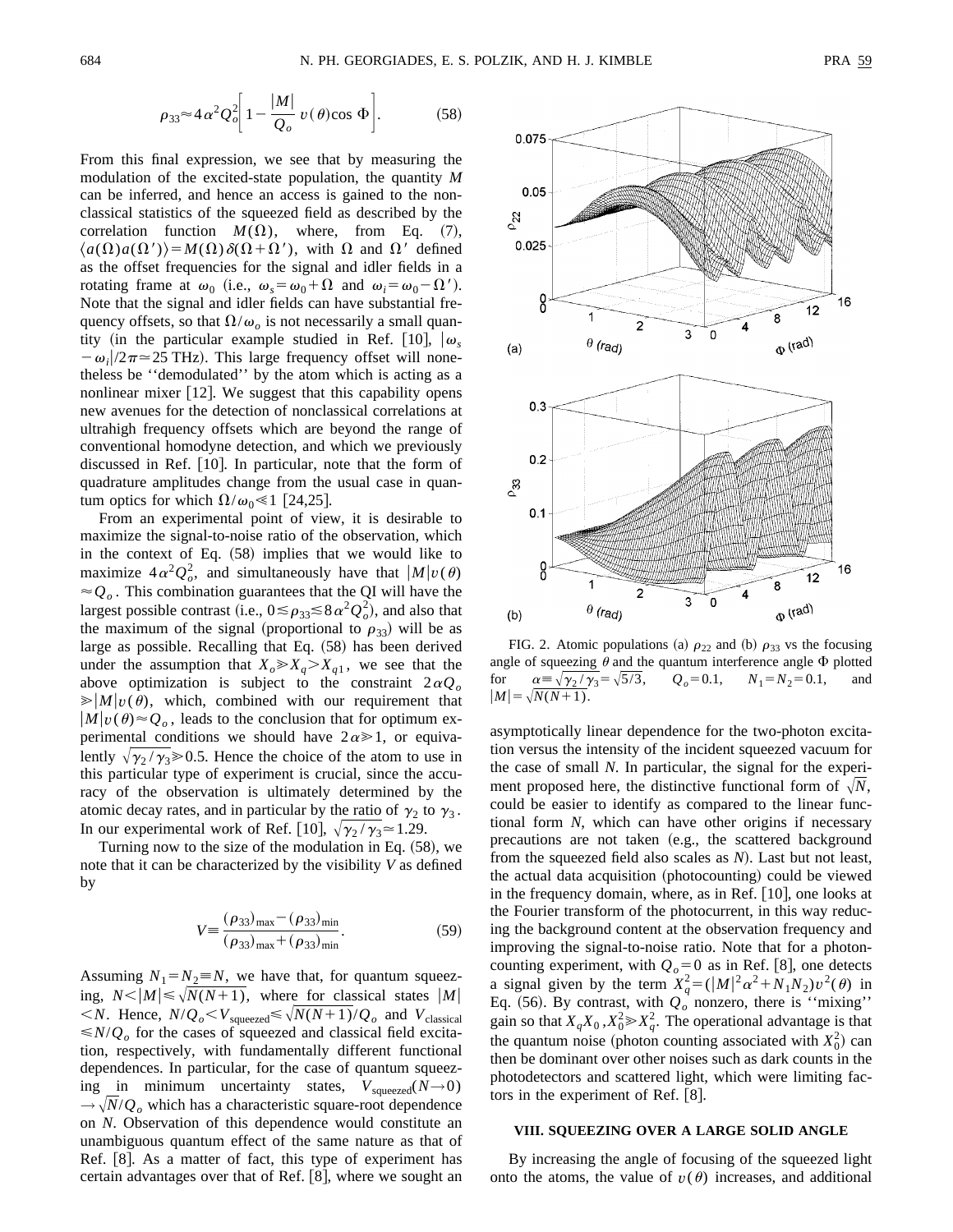$$
\rho_{33} \approx 4\alpha^2 Q_o^2 \bigg[ 1 - \frac{|M|}{Q_o} v(\theta) \cos \Phi \bigg]. \tag{58}
$$

From this final expression, we see that by measuring the modulation of the excited-state population, the quantity *M* can be inferred, and hence an access is gained to the nonclassical statistics of the squeezed field as described by the correlation function  $M(\Omega)$ , where, from Eq. (7),  $\langle a(\Omega)a(\Omega')\rangle = M(\Omega)\delta(\Omega+\Omega')$ , with  $\Omega$  and  $\Omega'$  defined as the offset frequencies for the signal and idler fields in a rotating frame at  $\omega_0$  (i.e.,  $\omega_s = \omega_0 + \Omega$  and  $\omega_i = \omega_0 - \Omega'$ ). Note that the signal and idler fields can have substantial frequency offsets, so that  $\Omega/\omega_o$  is not necessarily a small quantity (in the particular example studied in Ref.  $[10]$ ,  $|\omega_s$  $-\omega_i/2\pi \approx 25$  THz). This large frequency offset will nonetheless be ''demodulated'' by the atom which is acting as a nonlinear mixer  $[12]$ . We suggest that this capability opens new avenues for the detection of nonclassical correlations at ultrahigh frequency offsets which are beyond the range of conventional homodyne detection, and which we previously discussed in Ref. [10]. In particular, note that the form of quadrature amplitudes change from the usual case in quantum optics for which  $\Omega/\omega_0 \ll 1$  [24,25].

From an experimental point of view, it is desirable to maximize the signal-to-noise ratio of the observation, which in the context of Eq.  $(58)$  implies that we would like to maximize  $4\alpha^2 Q_o^2$ , and simultaneously have that  $|M|v(\theta)$  $\approx Q_0$ . This combination guarantees that the QI will have the largest possible contrast (i.e.,  $0 \le \rho_{33} \le 8 \alpha^2 Q_o^2$ ), and also that the maximum of the signal (proportional to  $\rho_{33}$ ) will be as large as possible. Recalling that Eq.  $(58)$  has been derived under the assumption that  $X_o \ge X_q > X_{q1}$ , we see that the above optimization is subject to the constraint  $2\alpha Q_o$  $\gg |M|v(\theta)$ , which, combined with our requirement that  $|M|v(\theta) \approx Q_o$ , leads to the conclusion that for optimum experimental conditions we should have  $2\alpha \ge 1$ , or equivalently  $\sqrt{\gamma_2 / \gamma_3}$  > 0.5. Hence the choice of the atom to use in this particular type of experiment is crucial, since the accuracy of the observation is ultimately determined by the atomic decay rates, and in particular by the ratio of  $\gamma_2$  to  $\gamma_3$ . In our experimental work of Ref. [10],  $\sqrt{\gamma_2}/\gamma_3 \approx 1.29$ .

Turning now to the size of the modulation in Eq.  $(58)$ , we note that it can be characterized by the visibility *V* as defined by

$$
V = \frac{(\rho_{33})_{\text{max}} - (\rho_{33})_{\text{min}}}{(\rho_{33})_{\text{max}} + (\rho_{33})_{\text{min}}}.
$$
 (59)

Assuming  $N_1 = N_2 \equiv N$ , we have that, for quantum squeezing,  $N < |M| \le \sqrt{N(N+1)}$ , where for classical states  $|M|$  $\langle N$ . Hence,  $N/Q_o \langle V_{squeezed} \leq \sqrt{N(N+1)/Q_o}$  and  $V_{classical}$  $\leq N/Q_o$  for the cases of squeezed and classical field excitation, respectively, with fundamentally different functional dependences. In particular, for the case of quantum squeezing in minimum uncertainty states,  $V_{\text{squeezed}}(N\rightarrow 0)$  $\rightarrow \sqrt{N/Q_o}$  which has a characteristic square-root dependence on *N*. Observation of this dependence would constitute an unambiguous quantum effect of the same nature as that of Ref. [8]. As a matter of fact, this type of experiment has certain advantages over that of Ref.  $[8]$ , where we sought an



FIG. 2. Atomic populations (a)  $\rho_{22}$  and (b)  $\rho_{33}$  vs the focusing angle of squeezing  $\theta$  and the quantum interference angle  $\Phi$  plotted for  $\alpha = \sqrt{\gamma_2 / \gamma_3} = \sqrt{5/3}$ ,  $Q_o = 0.1$ ,  $N_1 = N_2 = 0.1$ , and  $|M| = \sqrt{N(N+1)}$ .

asymptotically linear dependence for the two-photon excitation versus the intensity of the incident squeezed vacuum for the case of small *N*. In particular, the signal for the experiment proposed here, the distinctive functional form of  $\sqrt{N}$ , could be easier to identify as compared to the linear functional form *N*, which can have other origins if necessary precautions are not taken (e.g., the scattered background from the squeezed field also scales as *N*). Last but not least, the actual data acquisition (photocounting) could be viewed in the frequency domain, where, as in Ref.  $[10]$ , one looks at the Fourier transform of the photocurrent, in this way reducing the background content at the observation frequency and improving the signal-to-noise ratio. Note that for a photoncounting experiment, with  $Q_o=0$  as in Ref. [8], one detects a signal given by the term  $X_q^2 = (|M|^2 \alpha^2 + N_1 N_2) v^2(\theta)$  in Eq. (56). By contrast, with  $Q<sub>o</sub>$  nonzero, there is "mixing" gain so that  $X_q X_0$ ,  $X_0^2 \gg X_q^2$ . The operational advantage is that the quantum noise (photon counting associated with  $X_0^2$ ) can then be dominant over other noises such as dark counts in the photodetectors and scattered light, which were limiting factors in the experiment of Ref.  $[8]$ .

# **VIII. SQUEEZING OVER A LARGE SOLID ANGLE**

By increasing the angle of focusing of the squeezed light onto the atoms, the value of  $v(\theta)$  increases, and additional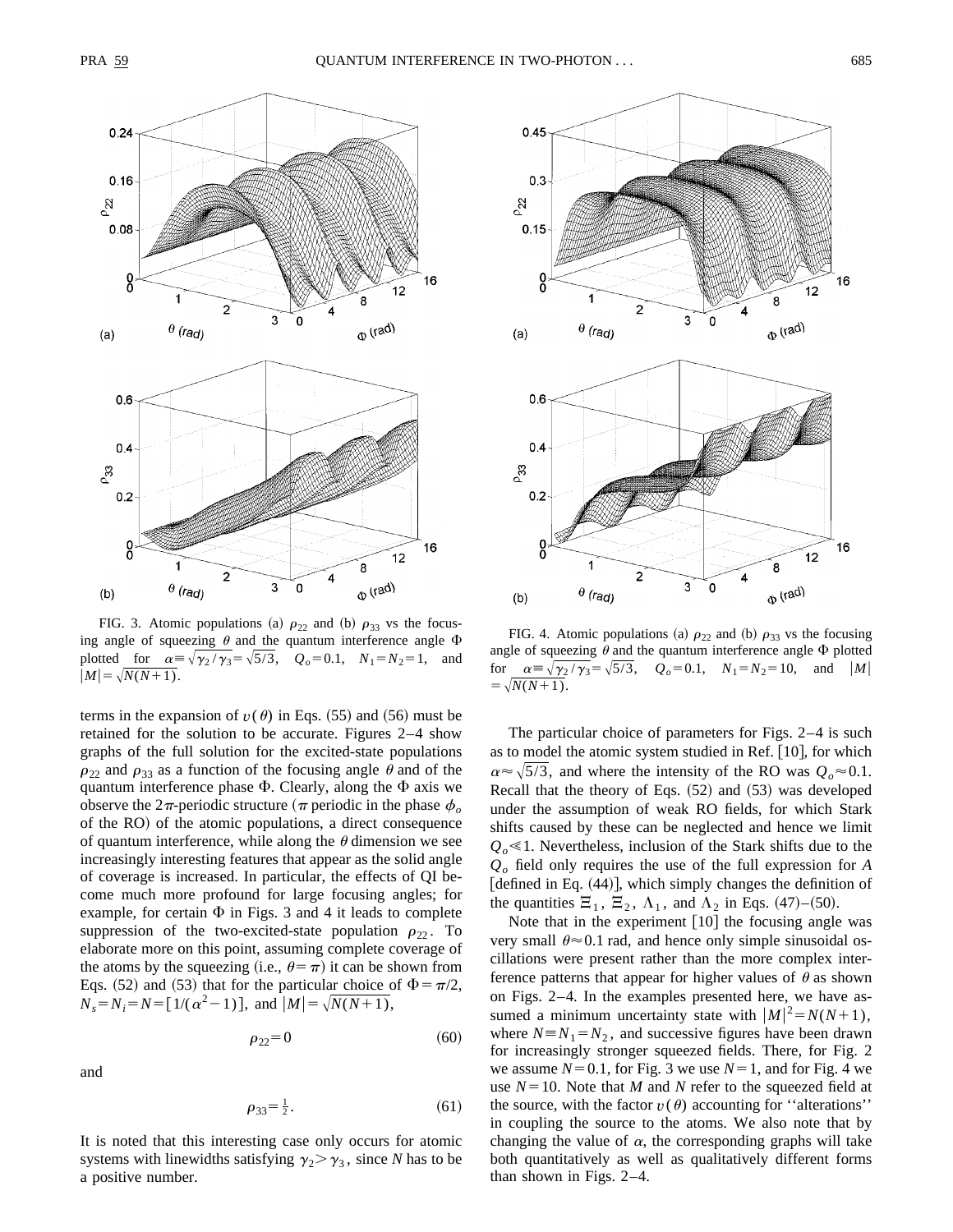

FIG. 3. Atomic populations (a)  $\rho_{22}$  and (b)  $\rho_{33}$  vs the focusing angle of squeezing  $\theta$  and the quantum interference angle  $\Phi$ plotted for  $\alpha = \sqrt{\gamma_2 / \gamma_3} = \sqrt{5/3}$ ,  $Q_o = 0.1$ ,  $N_1 = N_2 = 1$ , and  $|M| = \sqrt{N(N+1)}$ .

terms in the expansion of  $v(\theta)$  in Eqs. (55) and (56) must be retained for the solution to be accurate. Figures 2–4 show graphs of the full solution for the excited-state populations  $\rho_{22}$  and  $\rho_{33}$  as a function of the focusing angle  $\theta$  and of the quantum interference phase  $\Phi$ . Clearly, along the  $\Phi$  axis we observe the  $2\pi$ -periodic structure ( $\pi$  periodic in the phase  $\phi$ <sub>o</sub> of the RO) of the atomic populations, a direct consequence of quantum interference, while along the  $\theta$  dimension we see increasingly interesting features that appear as the solid angle of coverage is increased. In particular, the effects of QI become much more profound for large focusing angles; for example, for certain  $\Phi$  in Figs. 3 and 4 it leads to complete suppression of the two-excited-state population  $\rho_{22}$ . To elaborate more on this point, assuming complete coverage of the atoms by the squeezing (i.e.,  $\theta = \pi$ ) it can be shown from Eqs. (52) and (53) that for the particular choice of  $\Phi = \pi/2$ ,  $N_s = N_i = N = [1/(\alpha^2 - 1)],$  and  $|M| = \sqrt{N(N+1)},$ 

$$
\rho_{22} = 0 \tag{60}
$$

and

$$
\rho_{33} = \frac{1}{2} \,. \tag{61}
$$

It is noted that this interesting case only occurs for atomic systems with linewidths satisfying  $\gamma_2 > \gamma_3$ , since *N* has to be a positive number.



FIG. 4. Atomic populations (a)  $\rho_{22}$  and (b)  $\rho_{33}$  vs the focusing angle of squeezing  $\theta$  and the quantum interference angle  $\Phi$  plotted for  $\alpha = \sqrt{\gamma_2 / \gamma_3} = \sqrt{5/3}$ ,  $Q_o = 0.1$ ,  $N_1 = N_2 = 10$ , and  $|M|$  $=\sqrt{N(N+1)}$ .

The particular choice of parameters for Figs. 2–4 is such as to model the atomic system studied in Ref.  $[10]$ , for which  $\alpha \approx \sqrt{5/3}$ , and where the intensity of the RO was  $Q_0 \approx 0.1$ . Recall that the theory of Eqs.  $(52)$  and  $(53)$  was developed under the assumption of weak RO fields, for which Stark shifts caused by these can be neglected and hence we limit  $Q_0 \ll 1$ . Nevertheless, inclusion of the Stark shifts due to the *Qo* field only requires the use of the full expression for *A* [defined in Eq.  $(44)$ ], which simply changes the definition of the quantities  $\Xi_1$ ,  $\Xi_2$ ,  $\Lambda_1$ , and  $\Lambda_2$  in Eqs. (47)–(50).

Note that in the experiment  $[10]$  the focusing angle was very small  $\theta \approx 0.1$  rad, and hence only simple sinusoidal oscillations were present rather than the more complex interference patterns that appear for higher values of  $\theta$  as shown on Figs. 2–4. In the examples presented here, we have assumed a minimum uncertainty state with  $|M|^2 = N(N+1)$ , where  $N \equiv N_1 = N_2$ , and successive figures have been drawn for increasingly stronger squeezed fields. There, for Fig. 2 we assume  $N=0.1$ , for Fig. 3 we use  $N=1$ , and for Fig. 4 we use  $N=10$ . Note that *M* and *N* refer to the squeezed field at the source, with the factor  $v(\theta)$  accounting for "alterations" in coupling the source to the atoms. We also note that by changing the value of  $\alpha$ , the corresponding graphs will take both quantitatively as well as qualitatively different forms than shown in Figs. 2–4.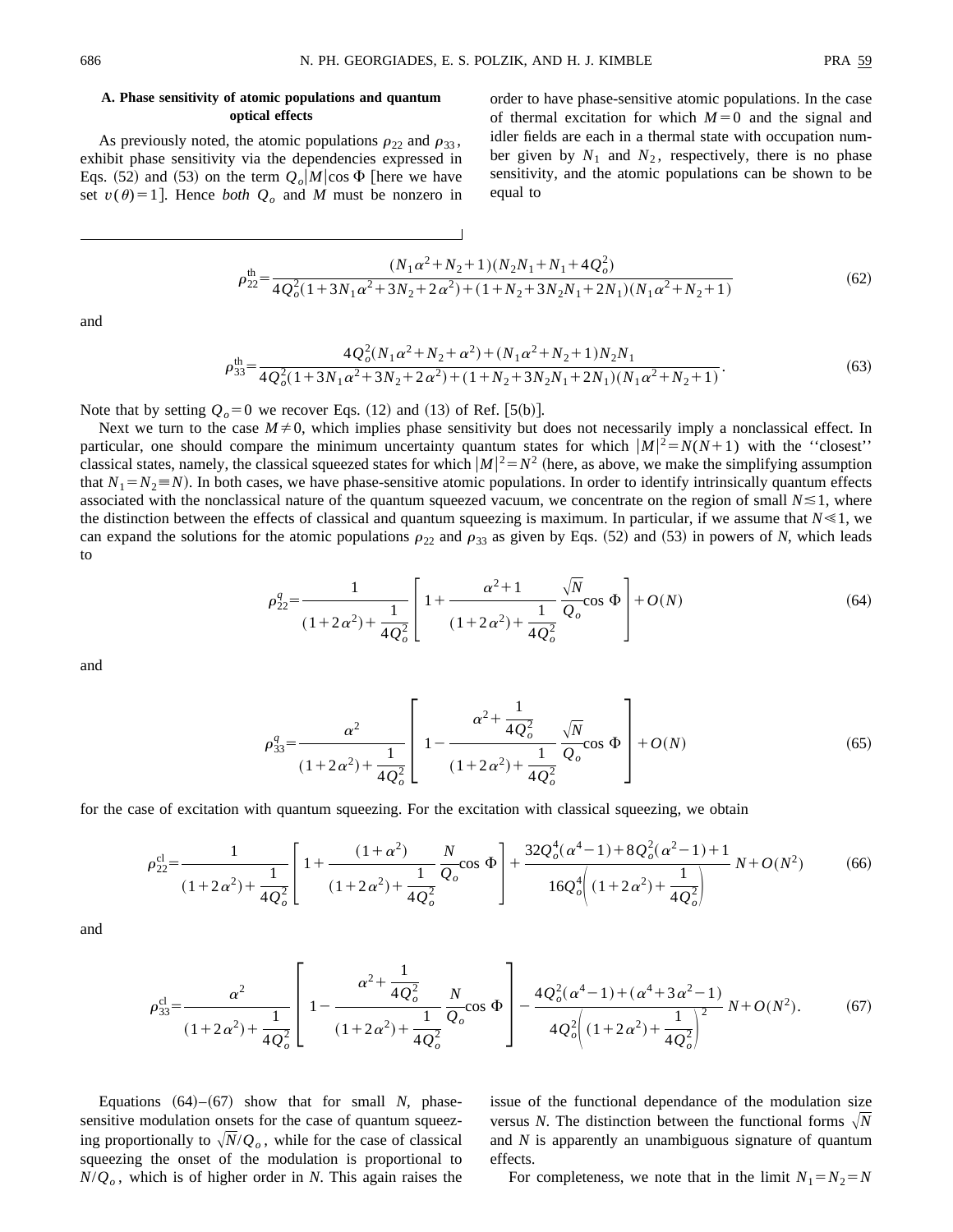## **A. Phase sensitivity of atomic populations and quantum optical effects**

As previously noted, the atomic populations  $\rho_{22}$  and  $\rho_{33}$ , exhibit phase sensitivity via the dependencies expressed in Eqs. (52) and (53) on the term  $Q_o|M|\cos \Phi$  [here we have set  $v(\theta) = 1$ . Hence *both*  $Q_o$  and *M* must be nonzero in order to have phase-sensitive atomic populations. In the case of thermal excitation for which  $M=0$  and the signal and idler fields are each in a thermal state with occupation number given by  $N_1$  and  $N_2$ , respectively, there is no phase sensitivity, and the atomic populations can be shown to be equal to

$$
\rho_{22}^{\text{th}} = \frac{(N_1 \alpha^2 + N_2 + 1)(N_2 N_1 + N_1 + 4Q_o^2)}{4Q_o^2 (1 + 3N_1 \alpha^2 + 3N_2 + 2\alpha^2) + (1 + N_2 + 3N_2 N_1 + 2N_1)(N_1 \alpha^2 + N_2 + 1)}
$$
(62)

and

$$
\rho_{33}^{\text{th}} = \frac{4Q_o^2(N_1\alpha^2 + N_2 + \alpha^2) + (N_1\alpha^2 + N_2 + 1)N_2N_1}{4Q_o^2(1 + 3N_1\alpha^2 + 3N_2 + 2\alpha^2) + (1 + N_2 + 3N_2N_1 + 2N_1)(N_1\alpha^2 + N_2 + 1)}.
$$
\n(63)

Note that by setting  $Q_o=0$  we recover Eqs. (12) and (13) of Ref. [5(b)].

Next we turn to the case  $M \neq 0$ , which implies phase sensitivity but does not necessarily imply a nonclassical effect. In particular, one should compare the minimum uncertainty quantum states for which  $|M|^2 = N(N+1)$  with the "closest" classical states, namely, the classical squeezed states for which  $|M|^2 = N^2$  (here, as above, we make the simplifying assumption that  $N_1 = N_2 = N$ ). In both cases, we have phase-sensitive atomic populations. In order to identify intrinsically quantum effects associated with the nonclassical nature of the quantum squeezed vacuum, we concentrate on the region of small  $N \leq 1$ , where the distinction between the effects of classical and quantum squeezing is maximum. In particular, if we assume that  $N \leq 1$ , we can expand the solutions for the atomic populations  $\rho_{22}$  and  $\rho_{33}$  as given by Eqs. (52) and (53) in powers of *N*, which leads to

$$
\rho_{22}^{q} = \frac{1}{(1+2\alpha^{2}) + \frac{1}{4Q_{o}^{2}}} \left[ 1 + \frac{\alpha^{2} + 1}{(1+2\alpha^{2}) + \frac{1}{4Q_{o}^{2}}} \frac{\sqrt{N}}{Q_{o}} \cos \Phi \right] + O(N)
$$
(64)

and

$$
\rho_{33}^q = \frac{\alpha^2}{(1+2\alpha^2) + \frac{1}{4Q_o^2}} \left[ 1 - \frac{\alpha^2 + \frac{1}{4Q_o^2}}{(1+2\alpha^2) + \frac{1}{4Q_o^2}} \frac{\sqrt{N}}{Q_o} \cos \Phi \right] + O(N) \tag{65}
$$

for the case of excitation with quantum squeezing. For the excitation with classical squeezing, we obtain

$$
\rho_{22}^{\text{cl}} = \frac{1}{(1+2\alpha^2) + \frac{1}{4Q_o^2}} \left[ 1 + \frac{(1+\alpha^2)}{(1+2\alpha^2) + \frac{1}{4Q_o^2}} \frac{N}{Q_o} \cos \Phi \right] + \frac{32Q_o^4(\alpha^4 - 1) + 8Q_o^2(\alpha^2 - 1) + 1}{16Q_o^4 \left( (1+2\alpha^2) + \frac{1}{4Q_o^2} \right)} N + O(N^2)
$$
(66)

and

$$
\rho_{33}^{\text{cl}} = \frac{\alpha^2}{(1+2\alpha^2) + \frac{1}{4Q_o^2}} \left[ 1 - \frac{\alpha^2 + \frac{1}{4Q_o^2}}{(1+2\alpha^2) + \frac{1}{4Q_o^2}} \frac{N}{Q_o} \cos \Phi \right] - \frac{4Q_o^2(\alpha^4 - 1) + (\alpha^4 + 3\alpha^2 - 1)}{4Q_o^2 \left( (1+2\alpha^2) + \frac{1}{4Q_o^2} \right)^2} N + O(N^2). \tag{67}
$$

Equations  $(64)–(67)$  show that for small *N*, phasesensitive modulation onsets for the case of quantum squeezing proportionally to  $\sqrt{N/Q_o}$ , while for the case of classical squeezing the onset of the modulation is proportional to  $N/Q<sub>o</sub>$ , which is of higher order in *N*. This again raises the issue of the functional dependance of the modulation size versus *N*. The distinction between the functional forms  $\sqrt{N}$ and *N* is apparently an unambiguous signature of quantum effects.

For completeness, we note that in the limit  $N_1 = N_2 = N$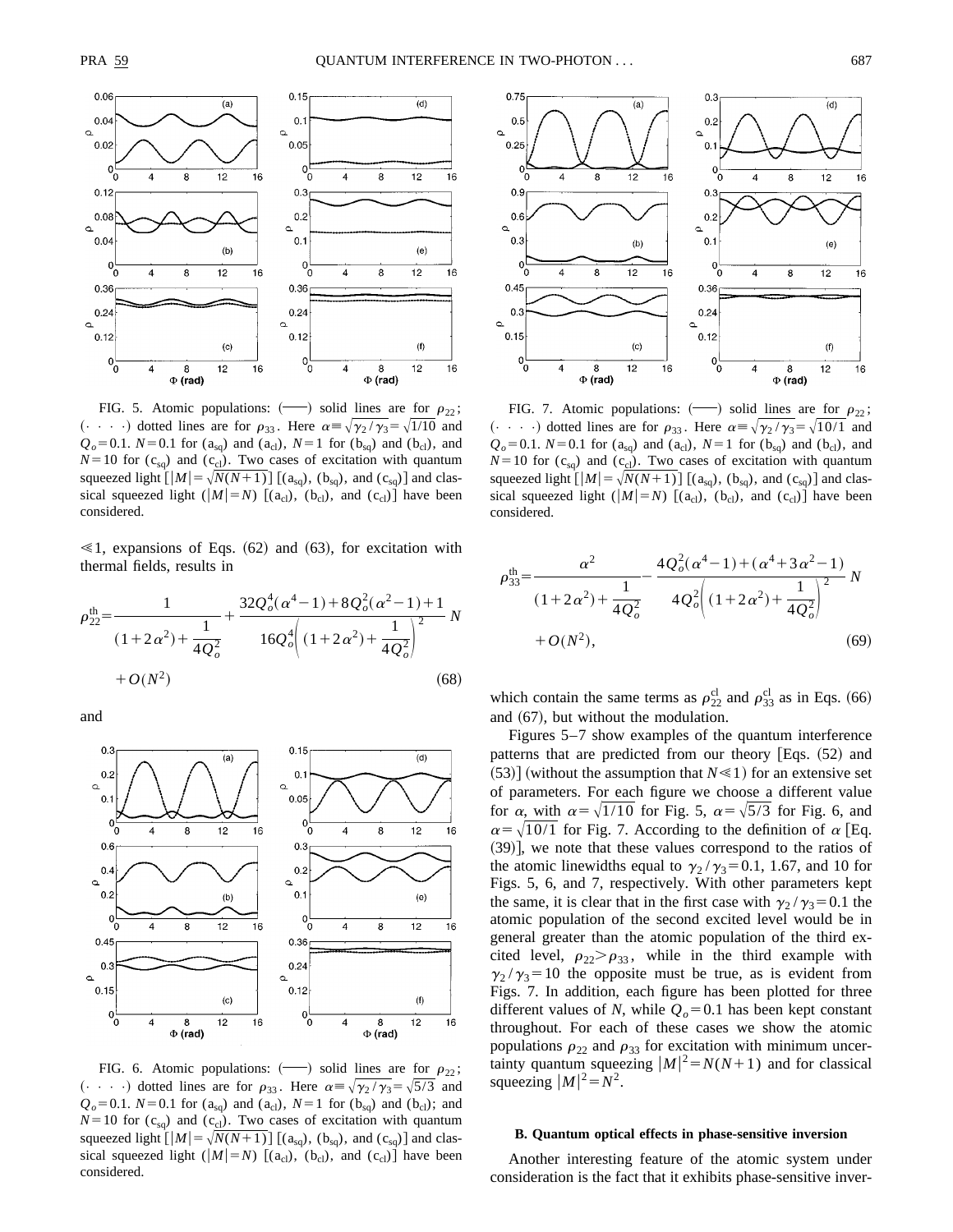

FIG. 5. Atomic populations:  $(\rightarrow)$  solid lines are for  $\rho_{22}$ ;  $(\cdot \cdot \cdot \cdot)$  dotted lines are for  $\rho_{33}$ . Here  $\alpha \equiv \sqrt{\gamma_2 / \gamma_3} = \sqrt{1/10}$  and  $Q_o$ =0.1. *N*=0.1 for (a<sub>sq</sub>) and (a<sub>cl</sub>), *N*=1 for (b<sub>sq</sub>) and (b<sub>cl</sub>), and  $N=10$  for (c<sub>sq</sub>) and (c<sub>cl</sub>). Two cases of excitation with quantum squeezed light  $[M] = \sqrt{N(N+1)}$  [(a<sub>sq</sub>), (b<sub>sq</sub>), and (c<sub>sq</sub>)] and classical squeezed light ( $|M|=N$ ) [(a<sub>cl</sub>), (b<sub>cl</sub>), and (c<sub>cl</sub>)] have been considered.

 $\leq 1$ , expansions of Eqs. (62) and (63), for excitation with thermal fields, results in

$$
\rho_{22}^{\text{th}} = \frac{1}{(1+2\alpha^2) + \frac{1}{4Q_o^2}} + \frac{32Q_o^4(\alpha^4 - 1) + 8Q_o^2(\alpha^2 - 1) + 1}{16Q_o^4 \left( (1+2\alpha^2) + \frac{1}{4Q_o^2} \right)^2} N
$$
  
+  $O(N^2)$  (68)

and



FIG. 6. Atomic populations:  $(\rightarrow)$  solid lines are for  $\rho_{22}$ ;  $(\cdot \cdot \cdot \cdot)$  dotted lines are for  $\rho_{33}$ . Here  $\alpha \equiv \sqrt{\gamma_2 / \gamma_3} = \sqrt{5/3}$  and  $Q_0$ =0.1. *N*=0.1 for (a<sub>sq</sub>) and (a<sub>cl</sub>), *N*=1 for (b<sub>sq</sub>) and (b<sub>cl</sub>); and  $N=10$  for (c<sub>sq</sub>) and (c<sub>cl</sub>). Two cases of excitation with quantum squeezed light  $\left[ |M| = \sqrt{N(N+1)} \right] \left[ (a_{sq}), (b_{sq}), \text{ and } (c_{sq}) \right]$  and classical squeezed light ( $|M|=N$ )  $[(a_{c1}), (b_{c1}),$  and  $(c_{c1})]$  have been considered.



FIG. 7. Atomic populations:  $(\rightarrow)$  solid lines are for  $\rho_{22}$ ;  $(\cdot \cdot \cdot \cdot)$  dotted lines are for  $\rho_{33}$ . Here  $\alpha = \sqrt{\gamma_2 / \gamma_3} = \sqrt{10/1}$  and  $Q_0$ =0.1. *N*=0.1 for (a<sub>sq</sub>) and (a<sub>cl</sub>), *N*=1 for (b<sub>sq</sub>) and (b<sub>cl</sub>), and  $N=10$  for (c<sub>sq</sub>) and (c<sub>cl</sub>). Two cases of excitation with quantum squeezed light  $[M] = \sqrt{N(N+1)}$  [(a<sub>sq</sub>), (b<sub>sq</sub>), and (c<sub>sq</sub>)] and classical squeezed light ( $|M|=N$ )  $[(a_{c1}), (b_{c1}),$  and  $(c_{c1})]$  have been considered.

$$
\rho_{33}^{\text{th}} = \frac{\alpha^2}{(1+2\alpha^2) + \frac{1}{4Q_o^2}} - \frac{4Q_o^2(\alpha^4 - 1) + (\alpha^4 + 3\alpha^2 - 1)}{4Q_o^2 \left( (1+2\alpha^2) + \frac{1}{4Q_o^2} \right)^2} N
$$
  
+  $O(N^2)$ , (69)

which contain the same terms as  $\rho_{22}^{cl}$  and  $\rho_{33}^{cl}$  as in Eqs. (66) and  $(67)$ , but without the modulation.

Figures 5–7 show examples of the quantum interference patterns that are predicted from our theory  $\lceil \text{Eqs.} (52) \rceil$  and  $(53)$ ] (without the assumption that  $N \le 1$ ) for an extensive set of parameters. For each figure we choose a different value for  $\alpha$ , with  $\alpha = \sqrt{1/10}$  for Fig. 5,  $\alpha = \sqrt{5/3}$  for Fig. 6, and  $\alpha = \sqrt{10/1}$  for Fig. 7. According to the definition of  $\alpha$  [Eq.  $(39)$ , we note that these values correspond to the ratios of the atomic linewidths equal to  $\gamma_2 / \gamma_3 = 0.1$ , 1.67, and 10 for Figs. 5, 6, and 7, respectively. With other parameters kept the same, it is clear that in the first case with  $\gamma_2 / \gamma_3 = 0.1$  the atomic population of the second excited level would be in general greater than the atomic population of the third excited level,  $\rho_{22} > \rho_{33}$ , while in the third example with  $\gamma_2 / \gamma_3 = 10$  the opposite must be true, as is evident from Figs. 7. In addition, each figure has been plotted for three different values of *N*, while  $Q_0 = 0.1$  has been kept constant throughout. For each of these cases we show the atomic populations  $\rho_{22}$  and  $\rho_{33}$  for excitation with minimum uncertainty quantum squeezing  $|M|^2 = N(N+1)$  and for classical squeezing  $|M|^2 = N^2$ .

#### **B. Quantum optical effects in phase-sensitive inversion**

Another interesting feature of the atomic system under consideration is the fact that it exhibits phase-sensitive inver-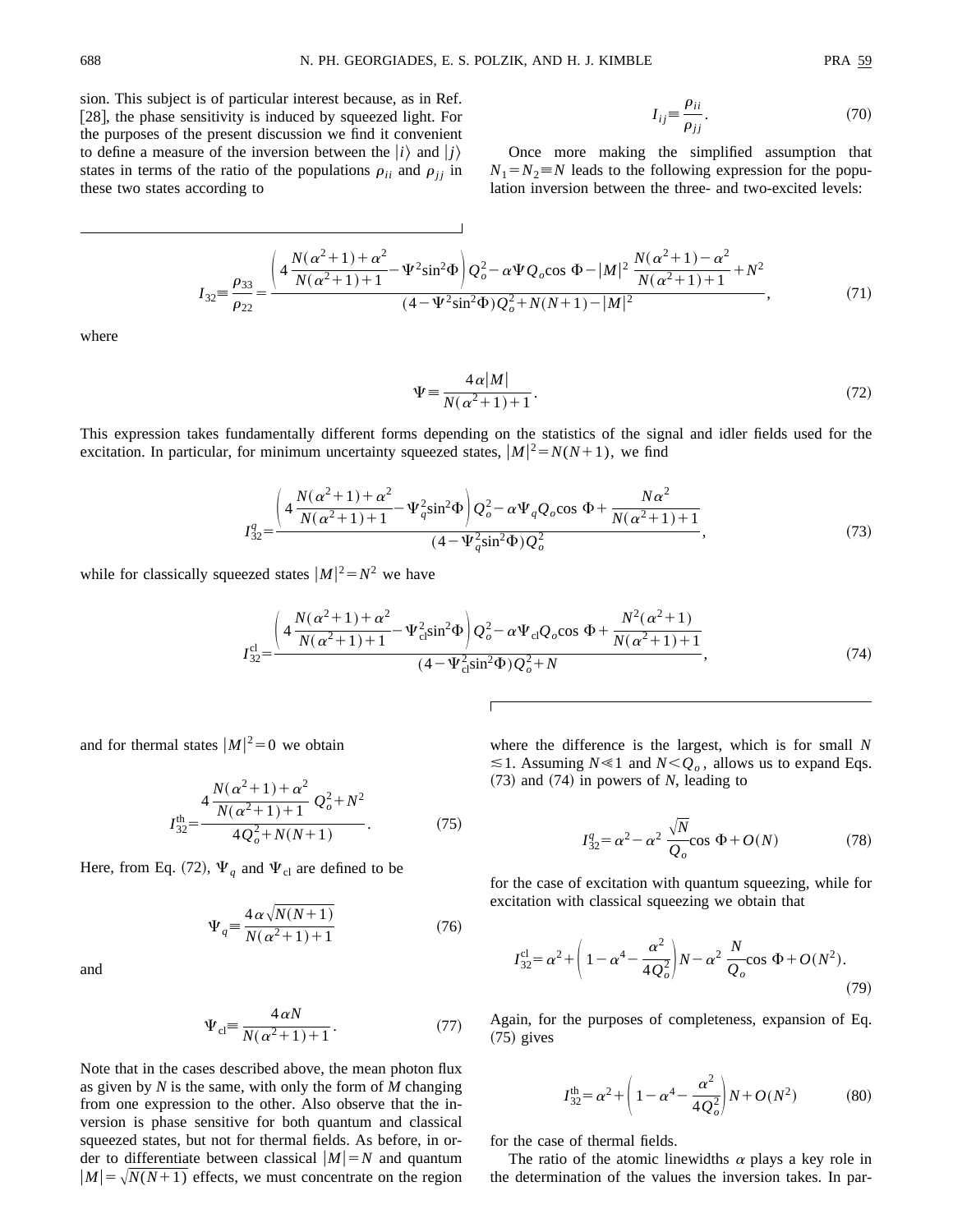$\overline{\phantom{a}}$ 

sion. This subject is of particular interest because, as in Ref.  $[28]$ , the phase sensitivity is induced by squeezed light. For the purposes of the present discussion we find it convenient to define a measure of the inversion between the  $|i\rangle$  and  $|j\rangle$ states in terms of the ratio of the populations  $\rho_{ii}$  and  $\rho_{jj}$  in these two states according to

$$
I_{ij} \equiv \frac{\rho_{ii}}{\rho_{jj}}.\tag{70}
$$

Once more making the simplified assumption that  $N_1 = N_2 \equiv N$  leads to the following expression for the population inversion between the three- and two-excited levels:

$$
I_{32} = \frac{\rho_{33}}{\rho_{22}} = \frac{\left(4\frac{N(\alpha^2+1)+\alpha^2}{N(\alpha^2+1)+1} - \Psi^2 \sin^2\Phi\right)Q_o^2 - \alpha\Psi Q_o \cos\Phi - |M|^2 \frac{N(\alpha^2+1)-\alpha^2}{N(\alpha^2+1)+1} + N^2}{(4-\Psi^2 \sin^2\Phi)Q_o^2 + N(N+1) - |M|^2},\tag{71}
$$

where

$$
\Psi = \frac{4\,\alpha|M|}{N(\,\alpha^2 + 1) + 1}.\tag{72}
$$

This expression takes fundamentally different forms depending on the statistics of the signal and idler fields used for the excitation. In particular, for minimum uncertainty squeezed states,  $|M|^2 = N(N+1)$ , we find

$$
I_{32}^{q} = \frac{\left(4\frac{N(\alpha^{2}+1)+\alpha^{2}}{N(\alpha^{2}+1)+1} - \Psi_{q}^{2}\sin^{2}\Phi\right)Q_{o}^{2} - \alpha\Psi_{q}Q_{o}\cos\Phi + \frac{N\alpha^{2}}{N(\alpha^{2}+1)+1}}{(4-\Psi_{q}^{2}\sin^{2}\Phi)Q_{o}^{2}},
$$
\n(73)

while for classically squeezed states  $|M|^2 = N^2$  we have

$$
I_{32}^{\text{cl}} = \frac{\left(4\frac{N(\alpha^2+1)+\alpha^2}{N(\alpha^2+1)+1} - \Psi_{\text{cl}}^2\sin^2\Phi\right)Q_o^2 - \alpha\Psi_{\text{cl}}Q_o\cos\Phi + \frac{N^2(\alpha^2+1)}{N(\alpha^2+1)+1}}{(4-\Psi_{\text{cl}}^2\sin^2\Phi)Q_o^2 + N},\tag{74}
$$

and for thermal states  $|M|^2 = 0$  we obtain

$$
I_{32}^{\text{th}} = \frac{4\frac{N(\alpha^2 + 1) + \alpha^2}{N(\alpha^2 + 1) + 1} Q_o^2 + N^2}{4Q_o^2 + N(N + 1)}.
$$
 (75)

Here, from Eq. (72),  $\Psi_q$  and  $\Psi_{cl}$  are defined to be

$$
\Psi_q \equiv \frac{4\,\alpha\,\sqrt{N(N+1)}}{N(\,\alpha^2+1)+1} \tag{76}
$$

and

$$
\Psi_{\rm cl} \equiv \frac{4\,\alpha N}{N(\alpha^2 + 1) + 1}.\tag{77}
$$

Note that in the cases described above, the mean photon flux as given by *N* is the same, with only the form of *M* changing from one expression to the other. Also observe that the inversion is phase sensitive for both quantum and classical squeezed states, but not for thermal fields. As before, in order to differentiate between classical  $|M|=N$  and quantum  $|M| = \sqrt{N(N+1)}$  effects, we must concentrate on the region where the difference is the largest, which is for small *N*  $\leq$  1. Assuming *N*  $\leq$  1 and *N*  $\lt Q_o$ , allows us to expand Eqs.  $(73)$  and  $(74)$  in powers of *N*, leading to

$$
I_{32}^q = \alpha^2 - \alpha^2 \frac{\sqrt{N}}{Q_o} \cos \Phi + O(N) \tag{78}
$$

for the case of excitation with quantum squeezing, while for excitation with classical squeezing we obtain that

$$
I_{32}^{\rm cl} = \alpha^2 + \left(1 - \alpha^4 - \frac{\alpha^2}{4Q_o^2}\right)N - \alpha^2 \frac{N}{Q_o} \cos \Phi + O(N^2). \tag{79}
$$

Again, for the purposes of completeness, expansion of Eq.  $(75)$  gives

$$
I_{32}^{\text{th}} = \alpha^2 + \left(1 - \alpha^4 - \frac{\alpha^2}{4Q_o^2}\right)N + O(N^2)
$$
 (80)

for the case of thermal fields.

The ratio of the atomic linewidths  $\alpha$  plays a key role in the determination of the values the inversion takes. In par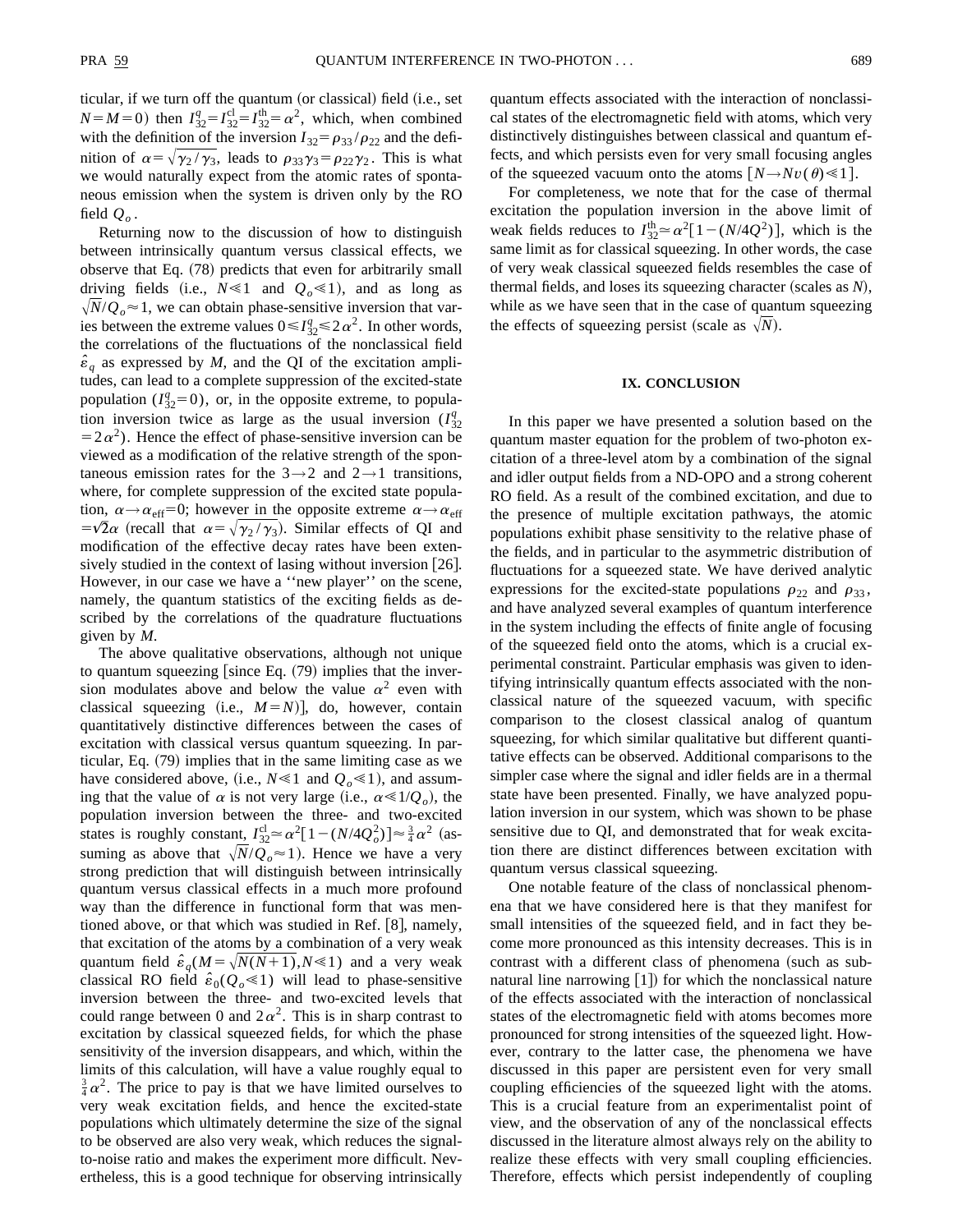ticular, if we turn off the quantum (or classical) field (i.e., set  $N=M=0$ ) then  $I_{32}^q = I_{32}^{cl} = I_{32}^{th} = \alpha^2$ , which, when combined with the definition of the inversion  $I_{32} = \rho_{33} / \rho_{22}$  and the definition of  $\alpha=\sqrt{\gamma_2/\gamma_3}$ , leads to  $\rho_{33}\gamma_3=\rho_{22}\gamma_2$ . This is what we would naturally expect from the atomic rates of spontaneous emission when the system is driven only by the RO field  $Q_o$ .

Returning now to the discussion of how to distinguish between intrinsically quantum versus classical effects, we observe that Eq.  $(78)$  predicts that even for arbitrarily small driving fields (i.e.,  $N \le 1$  and  $Q_0 \le 1$ ), and as long as  $\sqrt{N/Q_0} \approx 1$ , we can obtain phase-sensitive inversion that varies between the extreme values  $0 \leq I_{32}^q \leq 2\alpha^2$ . In other words, the correlations of the fluctuations of the nonclassical field  $\hat{\epsilon}_q$  as expressed by *M*, and the QI of the excitation amplitudes, can lead to a complete suppression of the excited-state population  $(I_{32}^q=0)$ , or, in the opposite extreme, to population inversion twice as large as the usual inversion  $(I_{32}^q)$  $=2\alpha^2$ ). Hence the effect of phase-sensitive inversion can be viewed as a modification of the relative strength of the spontaneous emission rates for the 3*→*2 and 2*→*1 transitions, where, for complete suppression of the excited state population,  $\alpha \rightarrow \alpha_{\text{eff}}=0$ ; however in the opposite extreme  $\alpha \rightarrow \alpha_{\text{eff}}$  $=\sqrt{2}\alpha$  (recall that  $\alpha=\sqrt{\gamma_2/\gamma_3}$ ). Similar effects of QI and modification of the effective decay rates have been extensively studied in the context of lasing without inversion  $[26]$ . However, in our case we have a ''new player'' on the scene, namely, the quantum statistics of the exciting fields as described by the correlations of the quadrature fluctuations given by *M*.

The above qualitative observations, although not unique to quantum squeezing [since Eq.  $(79)$  implies that the inversion modulates above and below the value  $\alpha^2$  even with classical squeezing (i.e.,  $M=N$ )], do, however, contain quantitatively distinctive differences between the cases of excitation with classical versus quantum squeezing. In particular, Eq.  $(79)$  implies that in the same limiting case as we have considered above, (i.e.,  $N \le 1$  and  $Q_0 \le 1$ ), and assuming that the value of  $\alpha$  is not very large (i.e.,  $\alpha \ll 1/Q_o$ ), the population inversion between the three- and two-excited states is roughly constant,  $I_{32}^{\text{cl}} \approx \alpha^2 [1 - (N/4Q_o^2)] \approx \frac{3}{4} \alpha^2$  (assuming as above that  $\sqrt{N}/Q_0 \approx 1$ . Hence we have a very strong prediction that will distinguish between intrinsically quantum versus classical effects in a much more profound way than the difference in functional form that was mentioned above, or that which was studied in Ref.  $[8]$ , namely, that excitation of the atoms by a combination of a very weak quantum field  $\hat{\epsilon}_q(M=\sqrt{N(N+1)},N\leq 1)$  and a very weak classical RO field  $\hat{\epsilon}_0(Q_0 \le 1)$  will lead to phase-sensitive inversion between the three- and two-excited levels that could range between 0 and  $2\alpha^2$ . This is in sharp contrast to excitation by classical squeezed fields, for which the phase sensitivity of the inversion disappears, and which, within the limits of this calculation, will have a value roughly equal to  $\frac{3}{4}\alpha^2$ . The price to pay is that we have limited ourselves to very weak excitation fields, and hence the excited-state populations which ultimately determine the size of the signal to be observed are also very weak, which reduces the signalto-noise ratio and makes the experiment more difficult. Nevertheless, this is a good technique for observing intrinsically quantum effects associated with the interaction of nonclassical states of the electromagnetic field with atoms, which very distinctively distinguishes between classical and quantum effects, and which persists even for very small focusing angles of the squeezed vacuum onto the atoms  $[N \rightarrow Nv(\theta) \ll 1]$ .

For completeness, we note that for the case of thermal excitation the population inversion in the above limit of weak fields reduces to  $I_{32}^{\text{th}} \approx \alpha^2 [1 - (N/4Q^2)]$ , which is the same limit as for classical squeezing. In other words, the case of very weak classical squeezed fields resembles the case of thermal fields, and loses its squeezing character (scales as  $N$ ), while as we have seen that in the case of quantum squeezing the effects of squeezing persist (scale as  $\sqrt{N}$ ).

# **IX. CONCLUSION**

In this paper we have presented a solution based on the quantum master equation for the problem of two-photon excitation of a three-level atom by a combination of the signal and idler output fields from a ND-OPO and a strong coherent RO field. As a result of the combined excitation, and due to the presence of multiple excitation pathways, the atomic populations exhibit phase sensitivity to the relative phase of the fields, and in particular to the asymmetric distribution of fluctuations for a squeezed state. We have derived analytic expressions for the excited-state populations  $\rho_{22}$  and  $\rho_{33}$ , and have analyzed several examples of quantum interference in the system including the effects of finite angle of focusing of the squeezed field onto the atoms, which is a crucial experimental constraint. Particular emphasis was given to identifying intrinsically quantum effects associated with the nonclassical nature of the squeezed vacuum, with specific comparison to the closest classical analog of quantum squeezing, for which similar qualitative but different quantitative effects can be observed. Additional comparisons to the simpler case where the signal and idler fields are in a thermal state have been presented. Finally, we have analyzed population inversion in our system, which was shown to be phase sensitive due to QI, and demonstrated that for weak excitation there are distinct differences between excitation with quantum versus classical squeezing.

One notable feature of the class of nonclassical phenomena that we have considered here is that they manifest for small intensities of the squeezed field, and in fact they become more pronounced as this intensity decreases. This is in contrast with a different class of phenomena (such as subnatural line narrowing  $[1]$  for which the nonclassical nature of the effects associated with the interaction of nonclassical states of the electromagnetic field with atoms becomes more pronounced for strong intensities of the squeezed light. However, contrary to the latter case, the phenomena we have discussed in this paper are persistent even for very small coupling efficiencies of the squeezed light with the atoms. This is a crucial feature from an experimentalist point of view, and the observation of any of the nonclassical effects discussed in the literature almost always rely on the ability to realize these effects with very small coupling efficiencies. Therefore, effects which persist independently of coupling